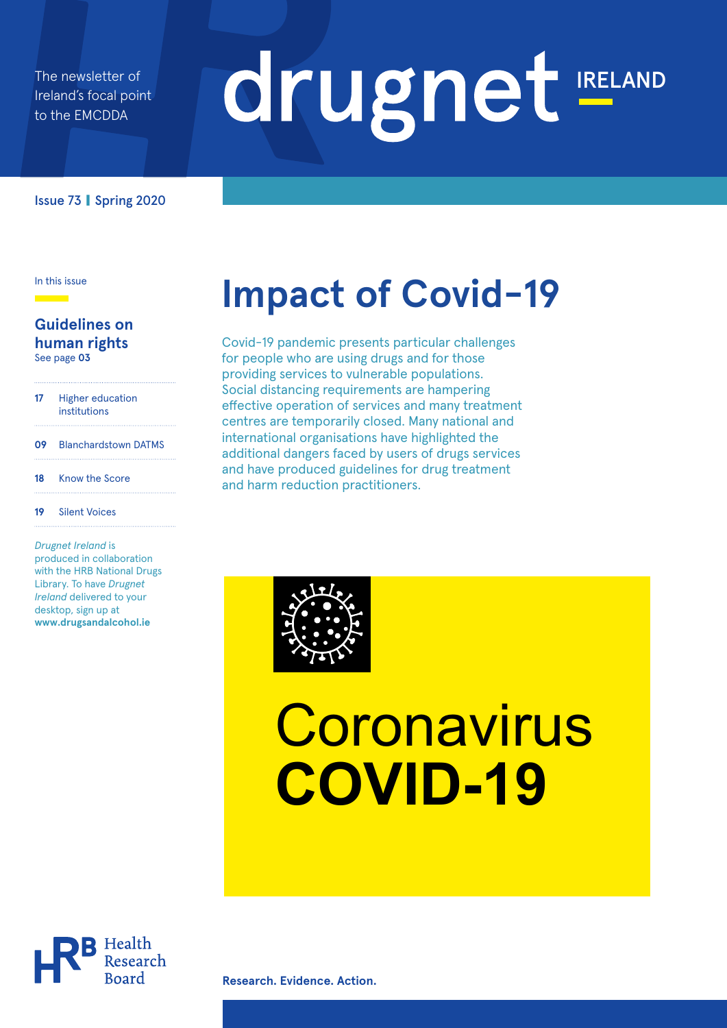The newsletter of Ireland's focal point to the EMCDDA

# drugnet IRELAND

#### Issue 73 **|** Spring 2020

#### **Guidelines on human rights** See page **03**

 Higher education institutions Blanchardstown DATMS Know the Score Silent Voices

*Drugnet Ireland* is produced in collaboration with the HRB National Drugs Library. To have *Drugnet Ireland* delivered to your desktop, sign up at **www.drugsandalcohol.ie** 

# Impact of Covid-19

Covid-19 pandemic presents particular challenges for people who are using drugs and for those providing services to vulnerable populations. Social distancing requirements are hampering effective operation of services and many treatment centres are temporarily closed. Many national and international organisations have highlighted the additional dangers faced by users of drugs services and have produced guidelines for drug treatment and harm reduction practitioners.



# **Coronavirus COVID-19**



**Research. Evidence. Action.**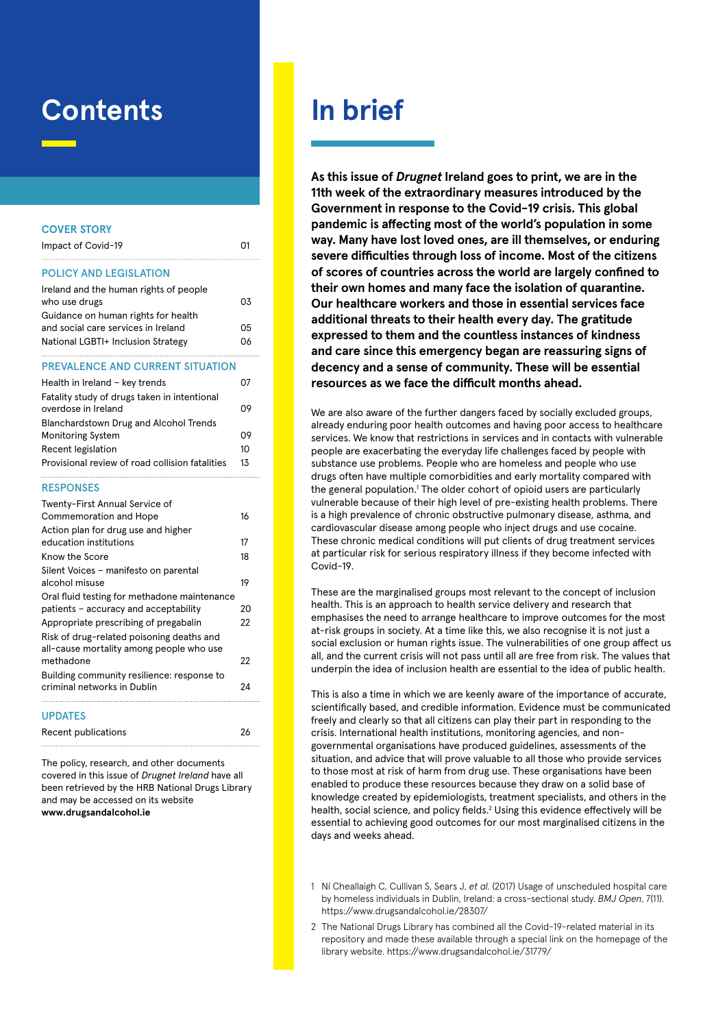### **Contents**

#### **COVER STORY**

| Impact of Covid-19                           |    |
|----------------------------------------------|----|
| <b>POLICY AND LEGISLATION</b>                |    |
| Ireland and the human rights of people       |    |
| who use drugs                                | 03 |
| Guidance on human rights for health          |    |
| and social care services in Ireland          | 05 |
| National LGBTI+ Inclusion Strategy           | 06 |
|                                              |    |
| <b>PREVALENCE AND CURRENT SITUATION</b>      |    |
| Health in Ireland - key trends               | 07 |
| Fatality study of drugs taken in intentional |    |
| overdose in Ireland                          | no |

| overdose in Ireland                             |    |
|-------------------------------------------------|----|
| Blanchardstown Drug and Alcohol Trends          |    |
| <b>Monitoring System</b>                        | 09 |
| Recent legislation                              | 10 |
| Provisional review of road collision fatalities | 13 |
|                                                 |    |

#### RESPONSES

| Twenty-First Annual Service of<br><b>Commemoration and Hope</b><br>Action plan for drug use and higher |    |  |  |  |  |  |
|--------------------------------------------------------------------------------------------------------|----|--|--|--|--|--|
| education institutions                                                                                 |    |  |  |  |  |  |
| Know the Score                                                                                         |    |  |  |  |  |  |
| Silent Voices - manifesto on parental                                                                  |    |  |  |  |  |  |
| alcohol misuse                                                                                         |    |  |  |  |  |  |
| Oral fluid testing for methadone maintenance                                                           |    |  |  |  |  |  |
| patients - accuracy and acceptability                                                                  | 20 |  |  |  |  |  |
| Appropriate prescribing of pregabalin                                                                  | 22 |  |  |  |  |  |
| Risk of drug-related poisoning deaths and<br>all-cause mortality among people who use                  |    |  |  |  |  |  |
| methadone                                                                                              |    |  |  |  |  |  |
| Building community resilience: response to<br>criminal networks in Dublin                              |    |  |  |  |  |  |
| <b>UPDATES</b>                                                                                         |    |  |  |  |  |  |

Recent publications 26 The policy, research, and other documents

covered in this issue of *Drugnet Ireland* have all been retrieved by the HRB National Drugs Library and may be accessed on its website **www.drugsandalcohol.ie**

## **In brief**

**As this issue of** *Drugnet* **Ireland goes to print, we are in the 11th week of the extraordinary measures introduced by the Government in response to the Covid-19 crisis. This global pandemic is affecting most of the world's population in some way. Many have lost loved ones, are ill themselves, or enduring severe difficulties through loss of income. Most of the citizens of scores of countries across the world are largely confined to their own homes and many face the isolation of quarantine. Our healthcare workers and those in essential services face additional threats to their health every day. The gratitude expressed to them and the countless instances of kindness and care since this emergency began are reassuring signs of decency and a sense of community. These will be essential resources as we face the difficult months ahead.**

We are also aware of the further dangers faced by socially excluded groups, already enduring poor health outcomes and having poor access to healthcare services. We know that restrictions in services and in contacts with vulnerable people are exacerbating the everyday life challenges faced by people with substance use problems. People who are homeless and people who use drugs often have multiple comorbidities and early mortality compared with the general population.<sup>1</sup> The older cohort of opioid users are particularly vulnerable because of their high level of pre-existing health problems. There is a high prevalence of chronic obstructive pulmonary disease, asthma, and cardiovascular disease among people who inject drugs and use cocaine. These chronic medical conditions will put clients of drug treatment services at particular risk for serious respiratory illness if they become infected with Covid-19.

These are the marginalised groups most relevant to the concept of inclusion health. This is an approach to health service delivery and research that emphasises the need to arrange healthcare to improve outcomes for the most at-risk groups in society. At a time like this, we also recognise it is not just a social exclusion or human rights issue. The vulnerabilities of one group affect us all, and the current crisis will not pass until all are free from risk. The values that underpin the idea of inclusion health are essential to the idea of public health.

This is also a time in which we are keenly aware of the importance of accurate, scientifically based, and credible information. Evidence must be communicated freely and clearly so that all citizens can play their part in responding to the crisis. International health institutions, monitoring agencies, and nongovernmental organisations have produced guidelines, assessments of the situation, and advice that will prove valuable to all those who provide services to those most at risk of harm from drug use. These organisations have been enabled to produce these resources because they draw on a solid base of knowledge created by epidemiologists, treatment specialists, and others in the health, social science, and policy fields.<sup>2</sup> Using this evidence effectively will be essential to achieving good outcomes for our most marginalised citizens in the days and weeks ahead.

- 1 Ní Cheallaigh C, Cullivan S, Sears J, *et al.* (2017) Usage of unscheduled hospital care by homeless individuals in Dublin, Ireland: a cross-sectional study. *BMJ Open*, 7(11). https://www.drugsandalcohol.ie/28307/
- 2 The National Drugs Library has combined all the Covid-19-related material in its repository and made these available through a special link on the homepage of the library website. https://www.drugsandalcohol.ie/31779/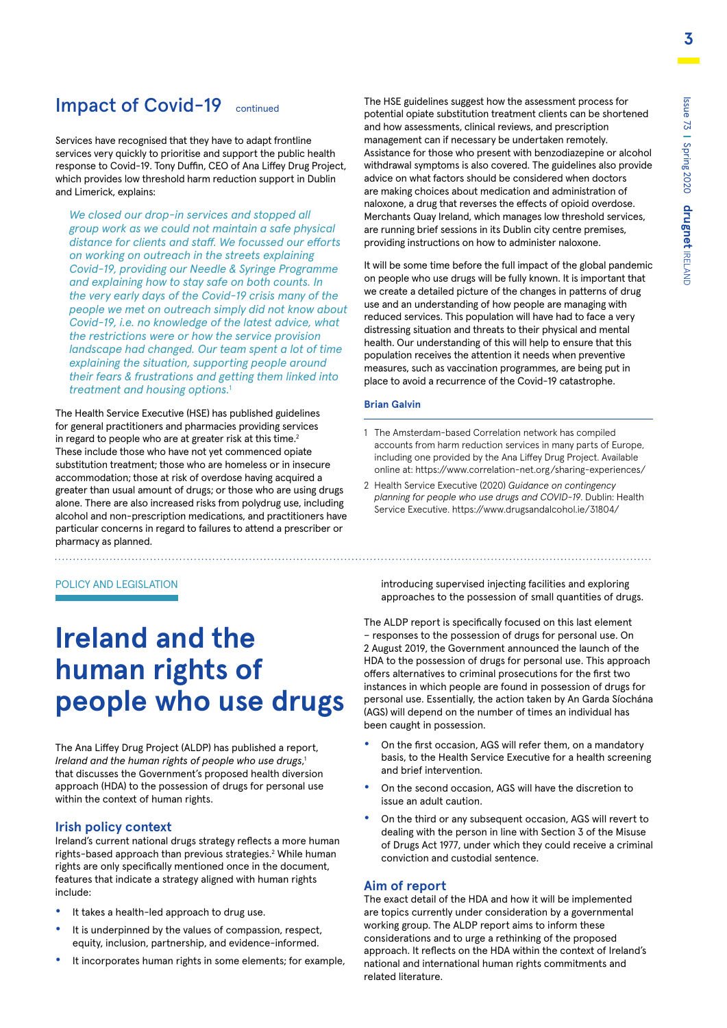### Impact of Covid-19 continued

Services have recognised that they have to adapt frontline services very quickly to prioritise and support the public health response to Covid-19. Tony Duffin, CEO of Ana Liffey Drug Project, which provides low threshold harm reduction support in Dublin and Limerick, explains:

*We closed our drop-in services and stopped all group work as we could not maintain a safe physical distance for clients and staff. We focussed our efforts on working on outreach in the streets explaining Covid-19, providing our Needle & Syringe Programme and explaining how to stay safe on both counts. In the very early days of the Covid-19 crisis many of the people we met on outreach simply did not know about Covid-19, i.e. no knowledge of the latest advice, what the restrictions were or how the service provision landscape had changed. Our team spent a lot of time explaining the situation, supporting people around their fears & frustrations and getting them linked into treatment and housing options.*<sup>1</sup>

The Health Service Executive (HSE) has published guidelines for general practitioners and pharmacies providing services in regard to people who are at greater risk at this time.<sup>2</sup> These include those who have not yet commenced opiate substitution treatment; those who are homeless or in insecure accommodation; those at risk of overdose having acquired a greater than usual amount of drugs; or those who are using drugs alone. There are also increased risks from polydrug use, including alcohol and non-prescription medications, and practitioners have particular concerns in regard to failures to attend a prescriber or pharmacy as planned.

#### POLICY AND LEGISLATION

. . . . . . . . . . . . . . . . . .

# **Ireland and the human rights of people who use drugs**

The Ana Liffey Drug Project (ALDP) has published a report, *Ireland and the human rights of people who use drugs*, 1 that discusses the Government's proposed health diversion approach (HDA) to the possession of drugs for personal use within the context of human rights.

#### **Irish policy context**

Ireland's current national drugs strategy reflects a more human rights-based approach than previous strategies.<sup>2</sup> While human rights are only specifically mentioned once in the document, features that indicate a strategy aligned with human rights include:

- **•** It takes a health-led approach to drug use.
- **•** It is underpinned by the values of compassion, respect, equity, inclusion, partnership, and evidence-informed.
- **•** It incorporates human rights in some elements; for example,

The HSE guidelines suggest how the assessment process for potential opiate substitution treatment clients can be shortened and how assessments, clinical reviews, and prescription management can if necessary be undertaken remotely. Assistance for those who present with benzodiazepine or alcohol withdrawal symptoms is also covered. The guidelines also provide advice on what factors should be considered when doctors are making choices about medication and administration of naloxone, a drug that reverses the effects of opioid overdose. Merchants Quay Ireland, which manages low threshold services, are running brief sessions in its Dublin city centre premises, providing instructions on how to administer naloxone.

It will be some time before the full impact of the global pandemic on people who use drugs will be fully known. It is important that we create a detailed picture of the changes in patterns of drug use and an understanding of how people are managing with reduced services. This population will have had to face a very distressing situation and threats to their physical and mental health. Our understanding of this will help to ensure that this population receives the attention it needs when preventive measures, such as vaccination programmes, are being put in place to avoid a recurrence of the Covid-19 catastrophe.

#### **Brian Galvin**

- 1 The Amsterdam-based Correlation network has compiled accounts from harm reduction services in many parts of Europe, including one provided by the Ana Liffey Drug Project. Available online at: https://www.correlation-net.org/sharing-experiences/
- 2 Health Service Executive (2020) *Guidance on contingency planning for people who use drugs and COVID-19*. Dublin: Health Service Executive. https://www.drugsandalcohol.ie/31804/

introducing supervised injecting facilities and exploring approaches to the possession of small quantities of drugs.

The ALDP report is specifically focused on this last element – responses to the possession of drugs for personal use. On 2 August 2019, the Government announced the launch of the HDA to the possession of drugs for personal use. This approach offers alternatives to criminal prosecutions for the first two instances in which people are found in possession of drugs for personal use. Essentially, the action taken by An Garda Síochána (AGS) will depend on the number of times an individual has been caught in possession.

- **•** On the first occasion, AGS will refer them, on a mandatory basis, to the Health Service Executive for a health screening and brief intervention.
- **•** On the second occasion, AGS will have the discretion to issue an adult caution.
- **•** On the third or any subsequent occasion, AGS will revert to dealing with the person in line with Section 3 of the Misuse of Drugs Act 1977, under which they could receive a criminal conviction and custodial sentence.

#### **Aim of report**

The exact detail of the HDA and how it will be implemented are topics currently under consideration by a governmental working group. The ALDP report aims to inform these considerations and to urge a rethinking of the proposed approach. It reflects on the HDA within the context of Ireland's national and international human rights commitments and related literature.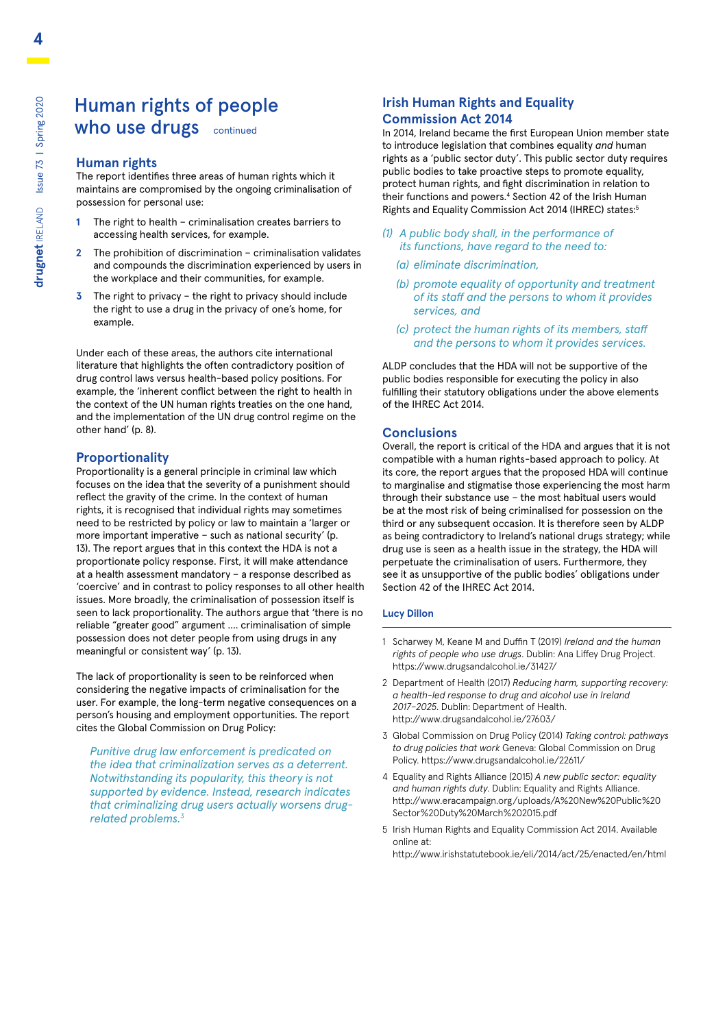### Human rights of people who use drugs continued

#### **Human rights**

The report identifies three areas of human rights which it maintains are compromised by the ongoing criminalisation of possession for personal use:

- **1** The right to health criminalisation creates barriers to accessing health services, for example.
- **2** The prohibition of discrimination criminalisation validates and compounds the discrimination experienced by users in the workplace and their communities, for example.
- **3** The right to privacy the right to privacy should include the right to use a drug in the privacy of one's home, for example.

Under each of these areas, the authors cite international literature that highlights the often contradictory position of drug control laws versus health-based policy positions. For example, the 'inherent conflict between the right to health in the context of the UN human rights treaties on the one hand, and the implementation of the UN drug control regime on the other hand' (p. 8).

#### **Proportionality**

Proportionality is a general principle in criminal law which focuses on the idea that the severity of a punishment should reflect the gravity of the crime. In the context of human rights, it is recognised that individual rights may sometimes need to be restricted by policy or law to maintain a 'larger or more important imperative – such as national security' (p. 13). The report argues that in this context the HDA is not a proportionate policy response. First, it will make attendance at a health assessment mandatory – a response described as 'coercive' and in contrast to policy responses to all other health issues. More broadly, the criminalisation of possession itself is seen to lack proportionality. The authors argue that 'there is no reliable "greater good" argument …. criminalisation of simple possession does not deter people from using drugs in any meaningful or consistent way' (p. 13).

The lack of proportionality is seen to be reinforced when considering the negative impacts of criminalisation for the user. For example, the long-term negative consequences on a person's housing and employment opportunities. The report cites the Global Commission on Drug Policy:

*Punitive drug law enforcement is predicated on the idea that criminalization serves as a deterrent. Notwithstanding its popularity, this theory is not supported by evidence. Instead, research indicates that criminalizing drug users actually worsens drugrelated problems.3*

#### **Irish Human Rights and Equality Commission Act 2014**

In 2014, Ireland became the first European Union member state to introduce legislation that combines equality *and* human rights as a 'public sector duty'. This public sector duty requires public bodies to take proactive steps to promote equality, protect human rights, and fight discrimination in relation to their functions and powers.<sup>4</sup> Section 42 of the Irish Human Rights and Equality Commission Act 2014 (IHREC) states:5

- *(1) A public body shall, in the performance of its functions, have regard to the need to:*
	- *(a) eliminate discrimination,*
	- *(b) promote equality of opportunity and treatment of its staff and the persons to whom it provides services, and*
	- *(c) protect the human rights of its members, staff and the persons to whom it provides services.*

ALDP concludes that the HDA will not be supportive of the public bodies responsible for executing the policy in also fulfilling their statutory obligations under the above elements of the IHREC Act 2014.

#### **Conclusions**

Overall, the report is critical of the HDA and argues that it is not compatible with a human rights-based approach to policy. At its core, the report argues that the proposed HDA will continue to marginalise and stigmatise those experiencing the most harm through their substance use – the most habitual users would be at the most risk of being criminalised for possession on the third or any subsequent occasion. It is therefore seen by ALDP as being contradictory to Ireland's national drugs strategy; while drug use is seen as a health issue in the strategy, the HDA will perpetuate the criminalisation of users. Furthermore, they see it as unsupportive of the public bodies' obligations under Section 42 of the IHREC Act 2014.

#### **Lucy Dillon**

- 1 Scharwey M, Keane M and Duffin T (2019) *Ireland and the human rights of people who use drugs*. Dublin: Ana Liffey Drug Project. https://www.drugsandalcohol.ie/31427/
- 2 Department of Health (2017) *Reducing harm, supporting recovery: a health-led response to drug and alcohol use in Ireland 2017–2025*. Dublin: Department of Health. <http://www.drugsandalcohol.ie/27603/>
- 3 Global Commission on Drug Policy (2014) *Taking control: pathways to drug policies that work* Geneva: Global Commission on Drug Policy. https://www.drugsandalcohol.ie/22611/
- 4 Equality and Rights Alliance (2015) *A new public sector: equality and human rights duty*. Dublin: Equality and Rights Alliance. [http://www.eracampaign.org/uploads/A%20New%20Public%20](http://www.eracampaign.org/uploads/A%20New%20Public%20Sector%20Duty%20March%202015.pdf) [Sector%20Duty%20March%202015.pdf](http://www.eracampaign.org/uploads/A%20New%20Public%20Sector%20Duty%20March%202015.pdf)
- 5 Irish Human Rights and Equality Commission Act 2014. Available online at:
	- http://www.irishstatutebook.ie/eli/2014/act/25/enacted/en/html

**4**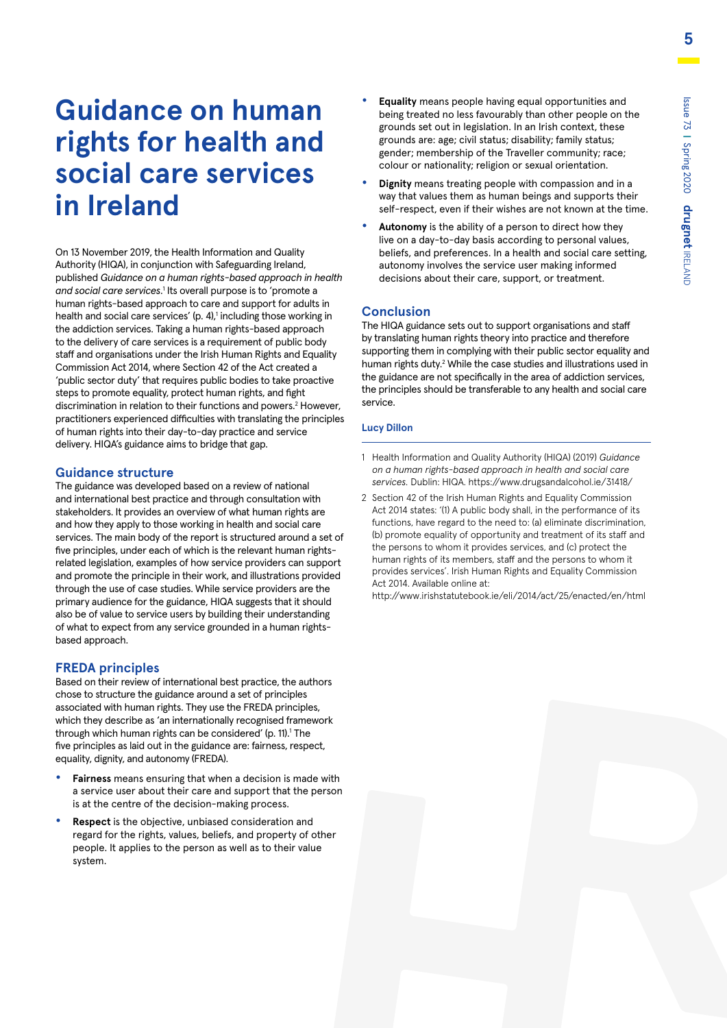# **Guidance on human rights for health and social care services in Ireland**

On 13 November 2019, the Health Information and Quality Authority (HIQA), in conjunction with Safeguarding Ireland, published *Guidance on a human rights-based approach in health*  and social care services.<sup>1</sup> Its overall purpose is to 'promote a human rights-based approach to care and support for adults in health and social care services' (p. 4),<sup>1</sup> including those working in the addiction services. Taking a human rights-based approach to the delivery of care services is a requirement of public body staff and organisations under the Irish Human Rights and Equality Commission Act 2014, where Section 42 of the Act created a 'public sector duty' that requires public bodies to take proactive steps to promote equality, protect human rights, and fight discrimination in relation to their functions and powers.<sup>2</sup> However, practitioners experienced difficulties with translating the principles of human rights into their day-to-day practice and service delivery. HIQA's guidance aims to bridge that gap.

#### **Guidance structure**

The guidance was developed based on a review of national and international best practice and through consultation with stakeholders. It provides an overview of what human rights are and how they apply to those working in health and social care services. The main body of the report is structured around a set of five principles, under each of which is the relevant human rightsrelated legislation, examples of how service providers can support and promote the principle in their work, and illustrations provided through the use of case studies. While service providers are the primary audience for the guidance, HIQA suggests that it should also be of value to service users by building their understanding of what to expect from any service grounded in a human rightsbased approach.

#### **FREDA principles**

Based on their review of international best practice, the authors chose to structure the guidance around a set of principles associated with human rights. They use the FREDA principles, which they describe as 'an internationally recognised framework through which human rights can be considered' (p. 11).<sup>1</sup> The five principles as laid out in the guidance are: fairness, respect, equality, dignity, and autonomy (FREDA).

- **• Fairness** means ensuring that when a decision is made with a service user about their care and support that the person is at the centre of the decision-making process.
- **• Respect** is the objective, unbiased consideration and regard for the rights, values, beliefs, and property of other people. It applies to the person as well as to their value system.
- **• Equality** means people having equal opportunities and being treated no less favourably than other people on the grounds set out in legislation. In an Irish context, these grounds are: age; civil status; disability; family status; gender; membership of the Traveller community; race; colour or nationality; religion or sexual orientation.
- **• Dignity** means treating people with compassion and in a way that values them as human beings and supports their self-respect, even if their wishes are not known at the time.
- **• Autonomy** is the ability of a person to direct how they live on a day-to-day basis according to personal values, beliefs, and preferences. In a health and social care setting, autonomy involves the service user making informed decisions about their care, support, or treatment.

#### **Conclusion**

The HIQA guidance sets out to support organisations and staff by translating human rights theory into practice and therefore supporting them in complying with their public sector equality and human rights duty.<sup>2</sup> While the case studies and illustrations used in the guidance are not specifically in the area of addiction services, the principles should be transferable to any health and social care service.

#### **Lucy Dillon**

- 1 Health Information and Quality Authority (HIQA) (2019) *Guidance on a human rights-based approach in health and social care services.* Dublin: HIQA. https://www.drugsandalcohol.ie/31418/
- 2 Section 42 of the Irish Human Rights and Equality Commission Act 2014 states: '(1) A public body shall, in the performance of its functions, have regard to the need to: (a) eliminate discrimination, (b) promote equality of opportunity and treatment of its staff and the persons to whom it provides services, and (c) protect the human rights of its members, staff and the persons to whom it provides services'. Irish Human Rights and Equality Commission Act 2014. Available online at:

<http://www.irishstatutebook.ie/eli/2014/act/25/enacted/en/html>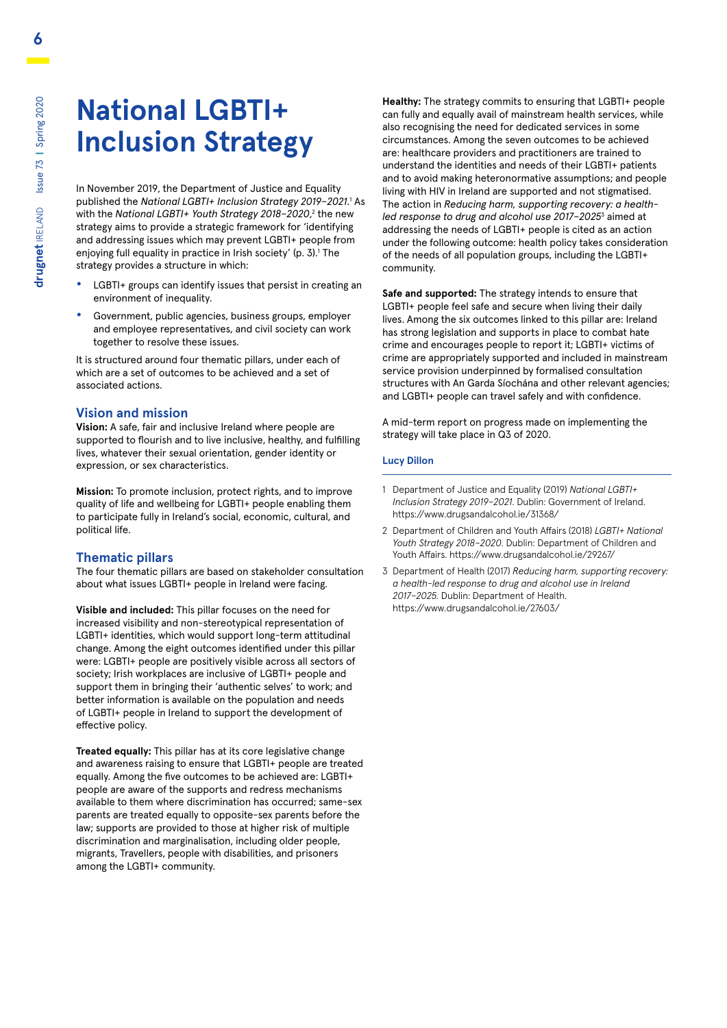# **National LGBTI+ Inclusion Strategy**

In November 2019, the Department of Justice and Equality published the National LGBTI+ Inclusion Strategy 2019-2021.<sup>1</sup> As with the National LGBTI+ Youth Strategy 2018–2020,<sup>2</sup> the new strategy aims to provide a strategic framework for 'identifying and addressing issues which may prevent LGBTI+ people from enjoying full equality in practice in Irish society' (p. 3).<sup>1</sup> The strategy provides a structure in which:

- **•** LGBTI+ groups can identify issues that persist in creating an environment of inequality.
- **•** Government, public agencies, business groups, employer and employee representatives, and civil society can work together to resolve these issues.

It is structured around four thematic pillars, under each of which are a set of outcomes to be achieved and a set of associated actions.

#### **Vision and mission**

**Vision:** A safe, fair and inclusive Ireland where people are supported to flourish and to live inclusive, healthy, and fulfilling lives, whatever their sexual orientation, gender identity or expression, or sex characteristics.

**Mission:** To promote inclusion, protect rights, and to improve quality of life and wellbeing for LGBTI+ people enabling them to participate fully in Ireland's social, economic, cultural, and political life.

#### **Thematic pillars**

The four thematic pillars are based on stakeholder consultation about what issues LGBTI+ people in Ireland were facing.

**Visible and included:** This pillar focuses on the need for increased visibility and non-stereotypical representation of LGBTI+ identities, which would support long-term attitudinal change. Among the eight outcomes identified under this pillar were: LGBTI+ people are positively visible across all sectors of society; Irish workplaces are inclusive of LGBTI+ people and support them in bringing their 'authentic selves' to work; and better information is available on the population and needs of LGBTI+ people in Ireland to support the development of effective policy.

**Treated equally:** This pillar has at its core legislative change and awareness raising to ensure that LGBTI+ people are treated equally. Among the five outcomes to be achieved are: LGBTI+ people are aware of the supports and redress mechanisms available to them where discrimination has occurred; same-sex parents are treated equally to opposite-sex parents before the law; supports are provided to those at higher risk of multiple discrimination and marginalisation, including older people, migrants, Travellers, people with disabilities, and prisoners among the LGBTI+ community.

**Healthy:** The strategy commits to ensuring that LGBTI+ people can fully and equally avail of mainstream health services, while also recognising the need for dedicated services in some circumstances. Among the seven outcomes to be achieved are: healthcare providers and practitioners are trained to understand the identities and needs of their LGBTI+ patients and to avoid making heteronormative assumptions; and people living with HIV in Ireland are supported and not stigmatised. The action in *Reducing harm, supporting recovery: a health*led response to drug and alcohol use 2017-2025<sup>3</sup> aimed at addressing the needs of LGBTI+ people is cited as an action under the following outcome: health policy takes consideration of the needs of all population groups, including the LGBTI+ community.

**Safe and supported:** The strategy intends to ensure that LGBTI+ people feel safe and secure when living their daily lives. Among the six outcomes linked to this pillar are: Ireland has strong legislation and supports in place to combat hate crime and encourages people to report it; LGBTI+ victims of crime are appropriately supported and included in mainstream service provision underpinned by formalised consultation structures with An Garda Síochána and other relevant agencies; and LGBTI+ people can travel safely and with confidence.

A mid-term report on progress made on implementing the strategy will take place in Q3 of 2020.

#### **Lucy Dillon**

- 1 Department of Justice and Equality (2019) *National LGBTI+ Inclusion Strategy 2019–2021*. Dublin: Government of Ireland. https://www.drugsandalcohol.ie/31368/
- 2 Department of Children and Youth Affairs (2018) *LGBTI+ National Youth Strategy 2018–2020*. Dublin: Department of Children and Youth Affairs. https://www.drugsandalcohol.ie/29267/
- 3 Department of Health (2017) *Reducing harm, supporting recovery: a health-led response to drug and alcohol use in Ireland 2017–2025.* Dublin: Department of Health. <https://www.drugsandalcohol.ie/27603/>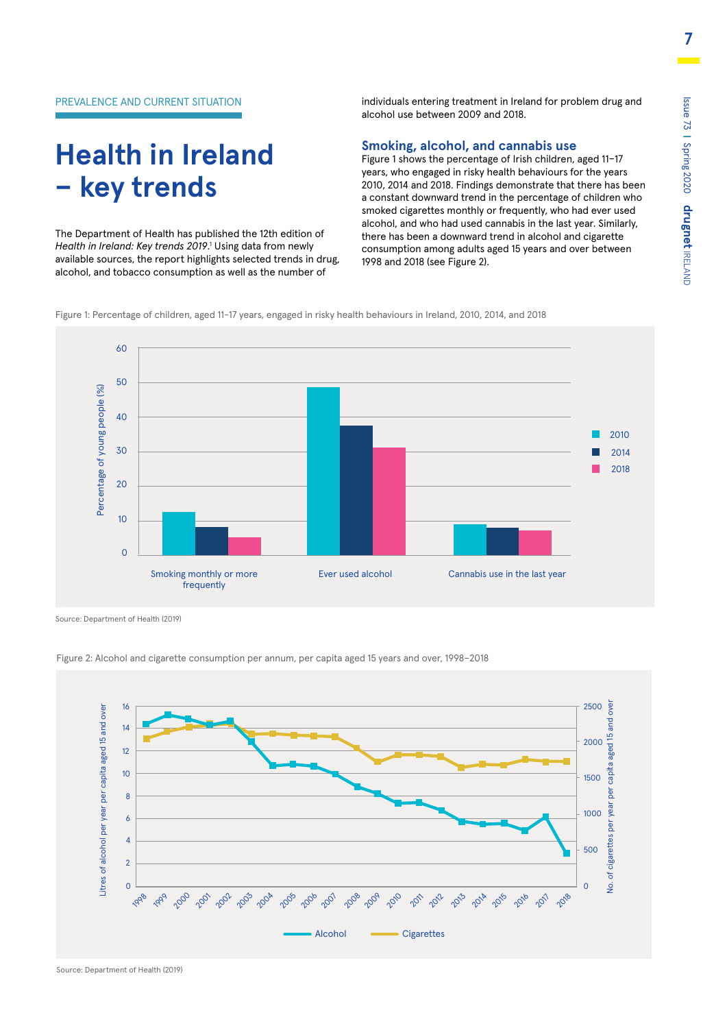**7**

individuals entering treatment in Ireland for problem drug and alcohol use between 2009 and 2018.

# **Health in Ireland – key trends**

The Department of Health has published the 12th edition of *Health in Ireland: Key trends 2019*. 1 Using data from newly available sources, the report highlights selected trends in drug, alcohol, and tobacco consumption as well as the number of

**Smoking, alcohol, and cannabis use**

Figure 1 shows the percentage of Irish children, aged 11–17 years, who engaged in risky health behaviours for the years 2010, 2014 and 2018. Findings demonstrate that there has been a constant downward trend in the percentage of children who smoked cigarettes monthly or frequently, who had ever used alcohol, and who had used cannabis in the last year. Similarly, there has been a downward trend in alcohol and cigarette consumption among adults aged 15 years and over between 1998 and 2018 (see Figure 2).

Figure 1: Percentage of children, aged 11-17 years, engaged in risky health behaviours in Ireland, 2010, 2014, and 2018



Source: Department of Health (2019)



Figure 2: Alcohol and cigarette consumption per annum, per capita aged 15 years and over, 1998–2018

Source: Department of Health (2019)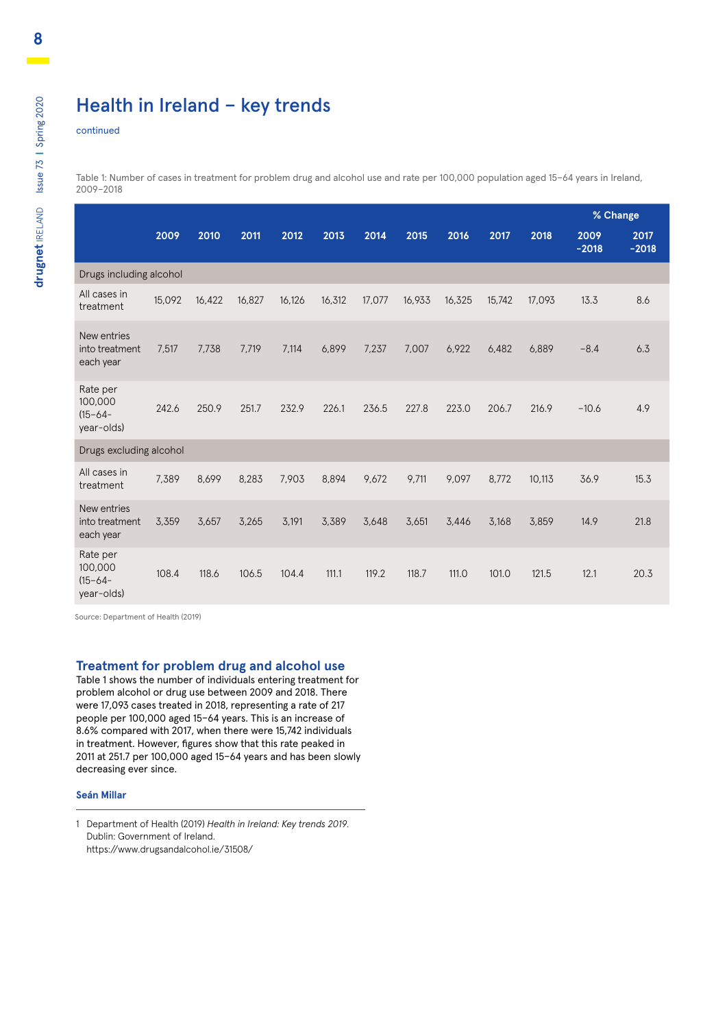### Health in Ireland – key trends

continued

Table 1: Number of cases in treatment for problem drug and alcohol use and rate per 100,000 population aged 15–64 years in Ireland, 2009–2018

|                                                   |        |        |        |        |        |        |        |        |        |        | % Change        |                 |
|---------------------------------------------------|--------|--------|--------|--------|--------|--------|--------|--------|--------|--------|-----------------|-----------------|
|                                                   | 2009   | 2010   | 2011   | 2012   | 2013   | 2014   | 2015   | 2016   | 2017   | 2018   | 2009<br>$-2018$ | 2017<br>$-2018$ |
| Drugs including alcohol                           |        |        |        |        |        |        |        |        |        |        |                 |                 |
| All cases in<br>treatment                         | 15,092 | 16,422 | 16,827 | 16,126 | 16,312 | 17,077 | 16,933 | 16,325 | 15,742 | 17,093 | 13.3            | 8.6             |
| New entries<br>into treatment<br>each year        | 7.517  | 7.738  | 7.719  | 7.114  | 6,899  | 7,237  | 7,007  | 6,922  | 6.482  | 6,889  | $-8.4$          | 6.3             |
| Rate per<br>100,000<br>$(15 - 64 -$<br>year-olds) | 242.6  | 250.9  | 251.7  | 232.9  | 226.1  | 236.5  | 227.8  | 223.0  | 206.7  | 216.9  | $-10.6$         | 4.9             |
| Drugs excluding alcohol                           |        |        |        |        |        |        |        |        |        |        |                 |                 |
| All cases in<br>treatment                         | 7,389  | 8,699  | 8,283  | 7,903  | 8,894  | 9,672  | 9,711  | 9,097  | 8,772  | 10,113 | 36.9            | 15.3            |
| New entries<br>into treatment<br>each year        | 3,359  | 3,657  | 3,265  | 3,191  | 3,389  | 3,648  | 3,651  | 3.446  | 3,168  | 3,859  | 14.9            | 21.8            |
| Rate per<br>100,000<br>$(15 - 64 -$<br>year-olds) | 108.4  | 118.6  | 106.5  | 104.4  | 111.1  | 119.2  | 118.7  | 111.0  | 101.0  | 121.5  | 12.1            | 20.3            |

Source: Department of Health (2019)

#### **Treatment for problem drug and alcohol use**

Table 1 shows the number of individuals entering treatment for problem alcohol or drug use between 2009 and 2018. There were 17,093 cases treated in 2018, representing a rate of 217 people per 100,000 aged 15–64 years. This is an increase of 8.6% compared with 2017, when there were 15,742 individuals in treatment. However, figures show that this rate peaked in 2011 at 251.7 per 100,000 aged 15–64 years and has been slowly decreasing ever since.

#### **Seán Millar**

1 Department of Health (2019) *Health in Ireland: Key trends 2019*. Dublin: Government of Ireland. <https://www.drugsandalcohol.ie/31508/>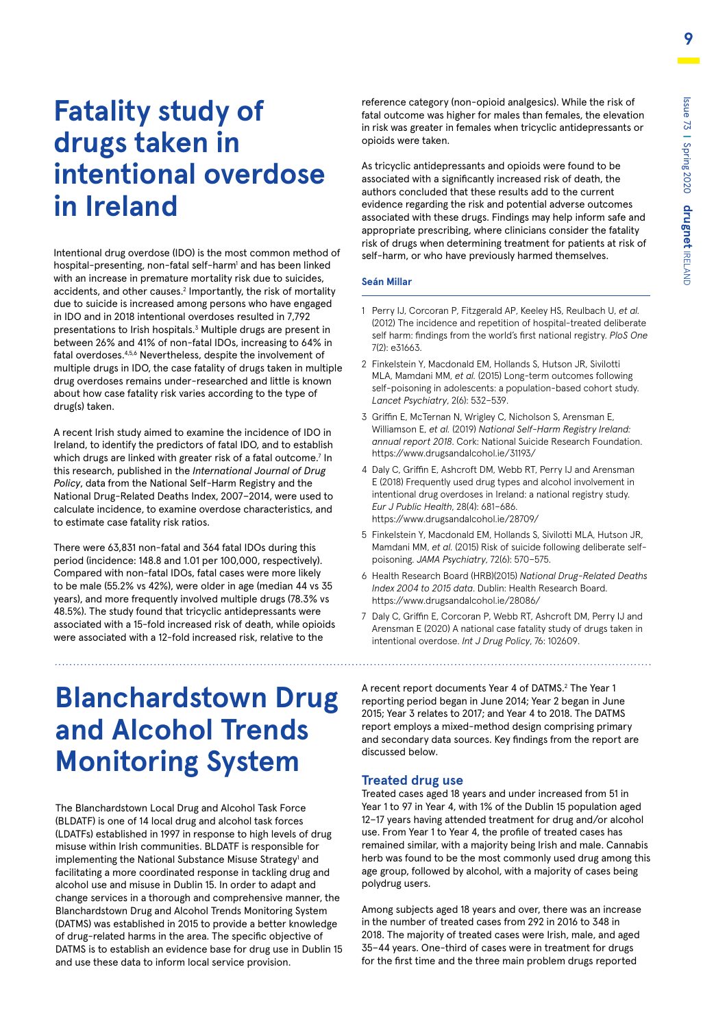# **Fatality study of drugs taken in intentional overdose in Ireland**

Intentional drug overdose (IDO) is the most common method of hospital-presenting, non-fatal self-harm<sup>1</sup> and has been linked with an increase in premature mortality risk due to suicides, accidents, and other causes.<sup>2</sup> Importantly, the risk of mortality due to suicide is increased among persons who have engaged in IDO and in 2018 intentional overdoses resulted in 7,792 presentations to Irish hospitals.<sup>3</sup> Multiple drugs are present in between 26% and 41% of non-fatal IDOs, increasing to 64% in fatal overdoses.4,5,6 Nevertheless, despite the involvement of multiple drugs in IDO, the case fatality of drugs taken in multiple drug overdoses remains under-researched and little is known about how case fatality risk varies according to the type of drug(s) taken.

A recent Irish study aimed to examine the incidence of IDO in Ireland, to identify the predictors of fatal IDO, and to establish which drugs are linked with greater risk of a fatal outcome. $7$  In this research, published in the *International Journal of Drug Policy*, data from the National Self-Harm Registry and the National Drug-Related Deaths Index, 2007–2014, were used to calculate incidence, to examine overdose characteristics, and to estimate case fatality risk ratios.

There were 63,831 non-fatal and 364 fatal IDOs during this period (incidence: 148.8 and 1.01 per 100,000, respectively). Compared with non-fatal IDOs, fatal cases were more likely to be male (55.2% vs 42%), were older in age (median 44 vs 35 years), and more frequently involved multiple drugs (78.3% vs 48.5%). The study found that tricyclic antidepressants were associated with a 15-fold increased risk of death, while opioids were associated with a 12-fold increased risk, relative to the

# **Blanchardstown Drug and Alcohol Trends Monitoring System**

The Blanchardstown Local Drug and Alcohol Task Force (BLDATF) is one of 14 local drug and alcohol task forces (LDATFs) established in 1997 in response to high levels of drug misuse within Irish communities. BLDATF is responsible for implementing the National Substance Misuse Strategy<sup>1</sup> and facilitating a more coordinated response in tackling drug and alcohol use and misuse in Dublin 15. In order to adapt and change services in a thorough and comprehensive manner, the Blanchardstown Drug and Alcohol Trends Monitoring System (DATMS) was established in 2015 to provide a better knowledge of drug-related harms in the area. The specific objective of DATMS is to establish an evidence base for drug use in Dublin 15 and use these data to inform local service provision.

reference category (non-opioid analgesics). While the risk of fatal outcome was higher for males than females, the elevation in risk was greater in females when tricyclic antidepressants or opioids were taken.

As tricyclic antidepressants and opioids were found to be associated with a significantly increased risk of death, the authors concluded that these results add to the current evidence regarding the risk and potential adverse outcomes associated with these drugs. Findings may help inform safe and appropriate prescribing, where clinicians consider the fatality risk of drugs when determining treatment for patients at risk of self-harm, or who have previously harmed themselves.

#### **Seán Millar**

- 1 Perry IJ, Corcoran P, Fitzgerald AP, Keeley HS, Reulbach U, *et al.* (2012) The incidence and repetition of hospital-treated deliberate self harm: findings from the world's first national registry. *PloS One* 7(2): e31663.
- 2 Finkelstein Y, Macdonald EM, Hollands S, Hutson JR, Sivilotti MLA, Mamdani MM, *et al.* (2015) Long-term outcomes following self-poisoning in adolescents: a population-based cohort study. *Lancet Psychiatry*, 2(6): 532–539.
- 3 Griffin E, McTernan N, Wrigley C, Nicholson S, Arensman E, Williamson E, *et al.* (2019) *National Self-Harm Registry Ireland: annual report 2018*. Cork: National Suicide Research Foundation. https://www.drugsandalcohol.ie/31193/
- 4 Daly C, Griffin E, Ashcroft DM, Webb RT, Perry IJ and Arensman E (2018) Frequently used drug types and alcohol involvement in intentional drug overdoses in Ireland: a national registry study. *Eur J Public Health*, 28(4): 681–686. <https://www.drugsandalcohol.ie/28709/>
- 5 Finkelstein Y, Macdonald EM, Hollands S, Sivilotti MLA, Hutson JR, Mamdani MM, *et al.* (2015) Risk of suicide following deliberate selfpoisoning. *JAMA Psychiatry*, 72(6): 570–575.
- 6 Health Research Board (HRB)(2015) *National Drug-Related Deaths Index 2004 to 2015 data*. Dublin: Health Research Board. https://www.drugsandalcohol.ie/28086/
- 7 Daly C, Griffin E, Corcoran P, Webb RT, Ashcroft DM, Perry IJ and Arensman E (2020) A national case fatality study of drugs taken in intentional overdose. *Int J Drug Policy*, 76: 102609.

A recent report documents Year 4 of DATMS.2 The Year 1 reporting period began in June 2014; Year 2 began in June 2015; Year 3 relates to 2017; and Year 4 to 2018. The DATMS report employs a mixed-method design comprising primary and secondary data sources. Key findings from the report are discussed below.

#### **Treated drug use**

Treated cases aged 18 years and under increased from 51 in Year 1 to 97 in Year 4, with 1% of the Dublin 15 population aged 12–17 years having attended treatment for drug and/or alcohol use. From Year 1 to Year 4, the profile of treated cases has remained similar, with a majority being Irish and male. Cannabis herb was found to be the most commonly used drug among this age group, followed by alcohol, with a majority of cases being polydrug users.

Among subjects aged 18 years and over, there was an increase in the number of treated cases from 292 in 2016 to 348 in 2018. The majority of treated cases were Irish, male, and aged 35–44 years. One-third of cases were in treatment for drugs for the first time and the three main problem drugs reported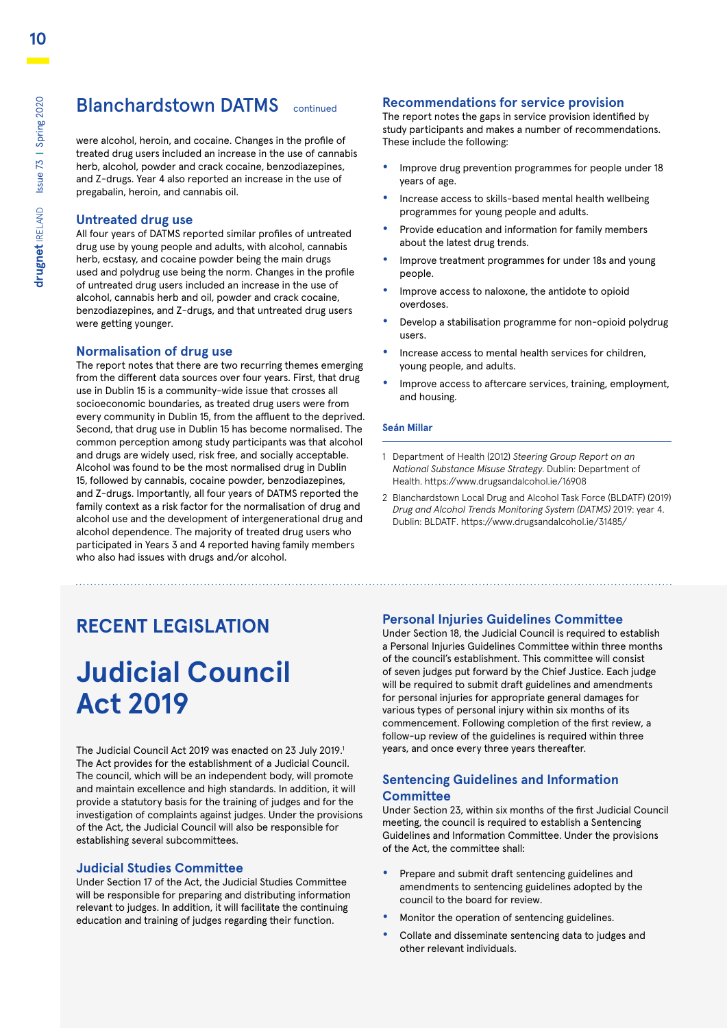### **Blanchardstown DATMS** continued

were alcohol, heroin, and cocaine. Changes in the profile of treated drug users included an increase in the use of cannabis herb, alcohol, powder and crack cocaine, benzodiazepines, and Z-drugs. Year 4 also reported an increase in the use of pregabalin, heroin, and cannabis oil.

#### **Untreated drug use**

All four years of DATMS reported similar profiles of untreated drug use by young people and adults, with alcohol, cannabis herb, ecstasy, and cocaine powder being the main drugs used and polydrug use being the norm. Changes in the profile of untreated drug users included an increase in the use of alcohol, cannabis herb and oil, powder and crack cocaine, benzodiazepines, and Z-drugs, and that untreated drug users were getting younger.

#### **Normalisation of drug use**

The report notes that there are two recurring themes emerging from the different data sources over four years. First, that drug use in Dublin 15 is a community-wide issue that crosses all socioeconomic boundaries, as treated drug users were from every community in Dublin 15, from the affluent to the deprived. Second, that drug use in Dublin 15 has become normalised. The common perception among study participants was that alcohol and drugs are widely used, risk free, and socially acceptable. Alcohol was found to be the most normalised drug in Dublin 15, followed by cannabis, cocaine powder, benzodiazepines, and Z-drugs. Importantly, all four years of DATMS reported the family context as a risk factor for the normalisation of drug and alcohol use and the development of intergenerational drug and alcohol dependence. The majority of treated drug users who participated in Years 3 and 4 reported having family members who also had issues with drugs and/or alcohol.

#### **Recommendations for service provision**

The report notes the gaps in service provision identified by study participants and makes a number of recommendations. These include the following:

- **•** Improve drug prevention programmes for people under 18 years of age.
- **•** Increase access to skills-based mental health wellbeing programmes for young people and adults.
- **•** Provide education and information for family members about the latest drug trends.
- **•** Improve treatment programmes for under 18s and young people.
- **•** Improve access to naloxone, the antidote to opioid overdoses.
- **•** Develop a stabilisation programme for non-opioid polydrug users.
- **•** Increase access to mental health services for children, young people, and adults.
- **•** Improve access to aftercare services, training, employment, and housing.

#### **Seán Millar**

- 1 Department of Health (2012) *Steering Group Report on an National Substance Misuse Strategy*. Dublin: Department of Health. https://www.drugsandalcohol.ie/16908
- 2 Blanchardstown Local Drug and Alcohol Task Force (BLDATF) (2019) *Drug and Alcohol Trends Monitoring System (DATMS)* 2019: year 4. Dublin: BLDATF. https://www.drugsandalcohol.ie/31485/

### **RECENT LEGISLATION**

# **Judicial Council Act 2019**

The Judicial Council Act 2019 was enacted on 23 July 2019.<sup>1</sup> The Act provides for the establishment of a Judicial Council. The council, which will be an independent body, will promote and maintain excellence and high standards. In addition, it will provide a statutory basis for the training of judges and for the investigation of complaints against judges. Under the provisions of the Act, the Judicial Council will also be responsible for establishing several subcommittees.

#### **Judicial Studies Committee**

Under Section 17 of the Act, the Judicial Studies Committee will be responsible for preparing and distributing information relevant to judges. In addition, it will facilitate the continuing education and training of judges regarding their function.

#### **Personal Injuries Guidelines Committee**

Under Section 18, the Judicial Council is required to establish a Personal Injuries Guidelines Committee within three months of the council's establishment. This committee will consist of seven judges put forward by the Chief Justice. Each judge will be required to submit draft guidelines and amendments for personal injuries for appropriate general damages for various types of personal injury within six months of its commencement. Following completion of the first review, a follow-up review of the guidelines is required within three years, and once every three years thereafter.

#### **Sentencing Guidelines and Information Committee**

Under Section 23, within six months of the first Judicial Council meeting, the council is required to establish a Sentencing Guidelines and Information Committee. Under the provisions of the Act, the committee shall:

- **•** Prepare and submit draft sentencing guidelines and amendments to sentencing guidelines adopted by the council to the board for review.
- **•** Monitor the operation of sentencing guidelines.
- **•** Collate and disseminate sentencing data to judges and other relevant individuals.

**10**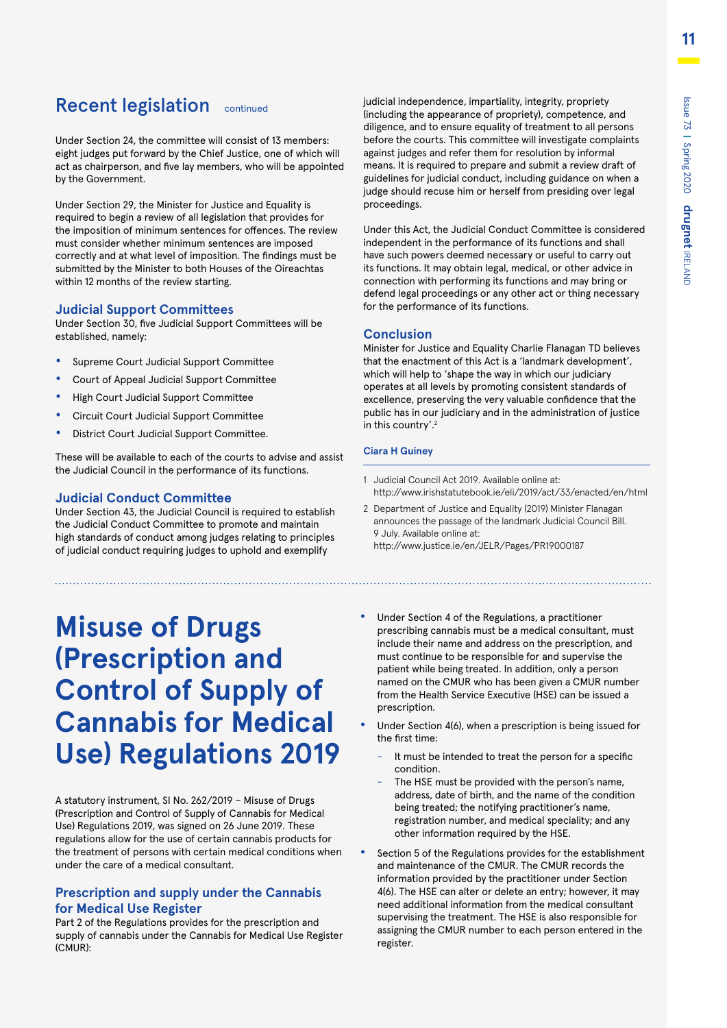### Recent legislation continued

Under Section 24, the committee will consist of 13 members: eight judges put forward by the Chief Justice, one of which will act as chairperson, and five lay members, who will be appointed by the Government.

Under Section 29, the Minister for Justice and Equality is required to begin a review of all legislation that provides for the imposition of minimum sentences for offences. The review must consider whether minimum sentences are imposed correctly and at what level of imposition. The findings must be submitted by the Minister to both Houses of the Oireachtas within 12 months of the review starting.

#### **Judicial Support Committees**

Under Section 30, five Judicial Support Committees will be established, namely:

- **•** Supreme Court Judicial Support Committee
- **•** Court of Appeal Judicial Support Committee
- **•** High Court Judicial Support Committee
- **•** Circuit Court Judicial Support Committee
- **•** District Court Judicial Support Committee.

These will be available to each of the courts to advise and assist the Judicial Council in the performance of its functions.

#### **Judicial Conduct Committee**

Under Section 43, the Judicial Council is required to establish the Judicial Conduct Committee to promote and maintain high standards of conduct among judges relating to principles of judicial conduct requiring judges to uphold and exemplify

# **Misuse of Drugs (Prescription and Control of Supply of Cannabis for Medical Use) Regulations 2019**

A statutory instrument, SI No. 262/2019 – Misuse of Drugs (Prescription and Control of Supply of Cannabis for Medical Use) Regulations 2019, was signed on 26 June 2019. These regulations allow for the use of certain cannabis products for the treatment of persons with certain medical conditions when under the care of a medical consultant.

#### **Prescription and supply under the Cannabis for Medical Use Register**

Part 2 of the Regulations provides for the prescription and supply of cannabis under the Cannabis for Medical Use Register (CMUR):

judicial independence, impartiality, integrity, propriety (including the appearance of propriety), competence, and diligence, and to ensure equality of treatment to all persons before the courts. This committee will investigate complaints against judges and refer them for resolution by informal means. It is required to prepare and submit a review draft of guidelines for judicial conduct, including guidance on when a judge should recuse him or herself from presiding over legal proceedings.

Under this Act, the Judicial Conduct Committee is considered independent in the performance of its functions and shall have such powers deemed necessary or useful to carry out its functions. It may obtain legal, medical, or other advice in connection with performing its functions and may bring or defend legal proceedings or any other act or thing necessary for the performance of its functions.

#### **Conclusion**

Minister for Justice and Equality Charlie Flanagan TD believes that the enactment of this Act is a 'landmark development', which will help to 'shape the way in which our judiciary operates at all levels by promoting consistent standards of excellence, preserving the very valuable confidence that the public has in our judiciary and in the administration of justice in this country'.2

#### **Ciara H Guiney**

- 1 Judicial Council Act 2019. Available online at: <http://www.irishstatutebook.ie/eli/2019/act/33/enacted/en/html>
- 2 Department of Justice and Equality (2019) Minister Flanagan announces the passage of the landmark Judicial Council Bill. 9 July. Available online at: <http://www.justice.ie/en/JELR/Pages/PR19000187>
- **•** Under Section 4 of the Regulations, a practitioner prescribing cannabis must be a medical consultant, must include their name and address on the prescription, and must continue to be responsible for and supervise the patient while being treated. In addition, only a person named on the CMUR who has been given a CMUR number from the Health Service Executive (HSE) can be issued a prescription.
	- **•** Under Section 4(6), when a prescription is being issued for the first time:
		- It must be intended to treat the person for a specific condition.
		- The HSE must be provided with the person's name, address, date of birth, and the name of the condition being treated; the notifying practitioner's name, registration number, and medical speciality; and any other information required by the HSE.
	- **•** Section 5 of the Regulations provides for the establishment and maintenance of the CMUR. The CMUR records the information provided by the practitioner under Section 4(6). The HSE can alter or delete an entry; however, it may need additional information from the medical consultant supervising the treatment. The HSE is also responsible for assigning the CMUR number to each person entered in the register.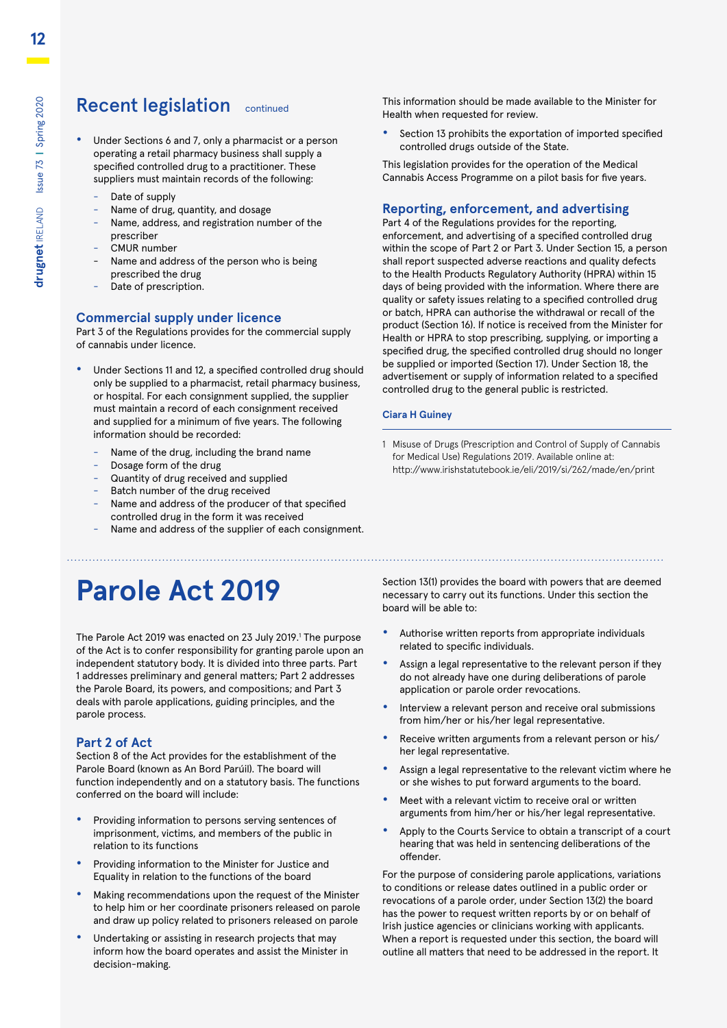### Recent legislation continued

- **•** Under Sections 6 and 7, only a pharmacist or a person operating a retail pharmacy business shall supply a specified controlled drug to a practitioner. These suppliers must maintain records of the following:
	- Date of supply
	- Name of drug, quantity, and dosage
	- Name, address, and registration number of the prescriber
	- CMUR number
	- Name and address of the person who is being prescribed the drug
	- Date of prescription.

#### **Commercial supply under licence**

Part 3 of the Regulations provides for the commercial supply of cannabis under licence.

- **•** Under Sections 11 and 12, a specified controlled drug should only be supplied to a pharmacist, retail pharmacy business, or hospital. For each consignment supplied, the supplier must maintain a record of each consignment received and supplied for a minimum of five years. The following information should be recorded:
	- Name of the drug, including the brand name
	- Dosage form of the drug
	- Quantity of drug received and supplied
	- Batch number of the drug received
	- Name and address of the producer of that specified controlled drug in the form it was received
	- Name and address of the supplier of each consignment.

This information should be made available to the Minister for Health when requested for review.

**•** Section 13 prohibits the exportation of imported specified controlled drugs outside of the State.

This legislation provides for the operation of the Medical Cannabis Access Programme on a pilot basis for five years.

#### **Reporting, enforcement, and advertising**

Part 4 of the Regulations provides for the reporting, enforcement, and advertising of a specified controlled drug within the scope of Part 2 or Part 3. Under Section 15, a person shall report suspected adverse reactions and quality defects to the Health Products Regulatory Authority (HPRA) within 15 days of being provided with the information. Where there are quality or safety issues relating to a specified controlled drug or batch, HPRA can authorise the withdrawal or recall of the product (Section 16). If notice is received from the Minister for Health or HPRA to stop prescribing, supplying, or importing a specified drug, the specified controlled drug should no longer be supplied or imported (Section 17). Under Section 18, the advertisement or supply of information related to a specified controlled drug to the general public is restricted.

#### **Ciara H Guiney**

1 Misuse of Drugs (Prescription and Control of Supply of Cannabis for Medical Use) Regulations 2019. Available online at: <http://www.irishstatutebook.ie/eli/2019/si/262/made/en/print>

# **Parole Act 2019**

The Parole Act 2019 was enacted on 23 July 2019.<sup>1</sup> The purpose of the Act is to confer responsibility for granting parole upon an independent statutory body. It is divided into three parts. Part 1 addresses preliminary and general matters; Part 2 addresses the Parole Board, its powers, and compositions; and Part 3 deals with parole applications, guiding principles, and the parole process.

#### **Part 2 of Act**

Section 8 of the Act provides for the establishment of the Parole Board (known as An Bord Parúil). The board will function independently and on a statutory basis. The functions conferred on the board will include:

- **•** Providing information to persons serving sentences of imprisonment, victims, and members of the public in relation to its functions
- **•** Providing information to the Minister for Justice and Equality in relation to the functions of the board
- **•** Making recommendations upon the request of the Minister to help him or her coordinate prisoners released on parole and draw up policy related to prisoners released on parole
- **•** Undertaking or assisting in research projects that may inform how the board operates and assist the Minister in decision-making.

Section 13(1) provides the board with powers that are deemed necessary to carry out its functions. Under this section the board will be able to:

- **•** Authorise written reports from appropriate individuals related to specific individuals.
- **•** Assign a legal representative to the relevant person if they do not already have one during deliberations of parole application or parole order revocations.
- **•** Interview a relevant person and receive oral submissions from him/her or his/her legal representative.
- **•** Receive written arguments from a relevant person or his/ her legal representative.
- **•** Assign a legal representative to the relevant victim where he or she wishes to put forward arguments to the board.
- **•** Meet with a relevant victim to receive oral or written arguments from him/her or his/her legal representative.
- **•** Apply to the Courts Service to obtain a transcript of a court hearing that was held in sentencing deliberations of the offender.

For the purpose of considering parole applications, variations to conditions or release dates outlined in a public order or revocations of a parole order, under Section 13(2) the board has the power to request written reports by or on behalf of Irish justice agencies or clinicians working with applicants. When a report is requested under this section, the board will outline all matters that need to be addressed in the report. It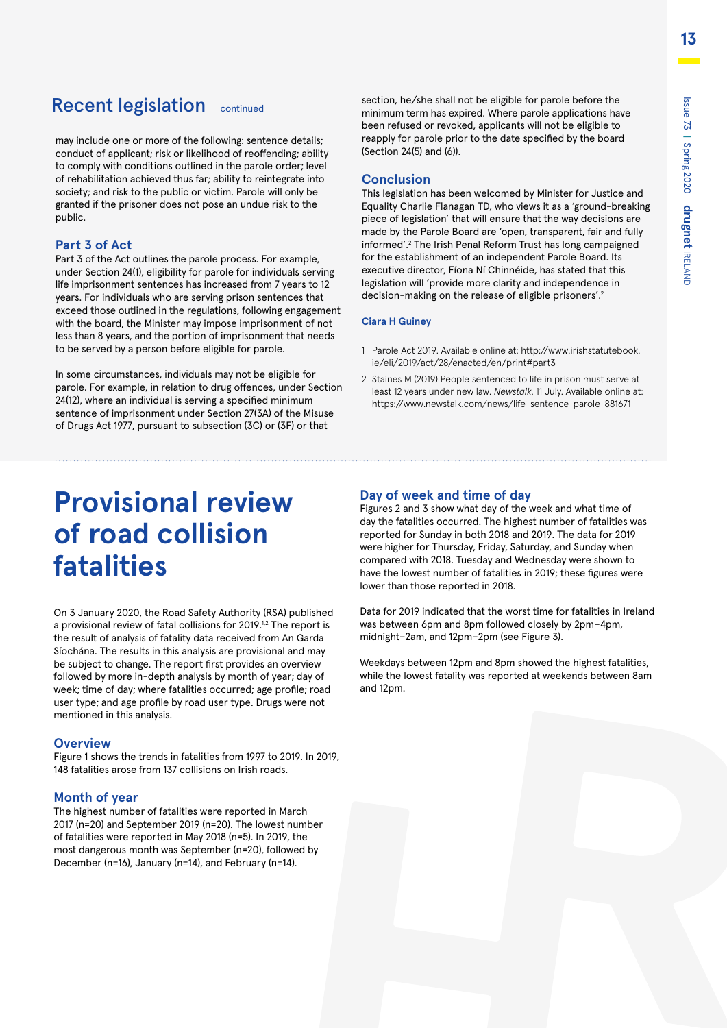### Recent legislation continued

may include one or more of the following: sentence details; conduct of applicant; risk or likelihood of reoffending; ability to comply with conditions outlined in the parole order; level of rehabilitation achieved thus far; ability to reintegrate into society; and risk to the public or victim. Parole will only be granted if the prisoner does not pose an undue risk to the public.

#### **Part 3 of Act**

Part 3 of the Act outlines the parole process. For example, under Section 24(1), eligibility for parole for individuals serving life imprisonment sentences has increased from 7 years to 12 years. For individuals who are serving prison sentences that exceed those outlined in the regulations, following engagement with the board, the Minister may impose imprisonment of not less than 8 years, and the portion of imprisonment that needs to be served by a person before eligible for parole.

In some circumstances, individuals may not be eligible for parole. For example, in relation to drug offences, under Section 24(12), where an individual is serving a specified minimum sentence of imprisonment under Section 27(3A) of the Misuse of Drugs Act 1977, pursuant to subsection (3C) or (3F) or that

# **Provisional review of road collision fatalities**

On 3 January 2020, the Road Safety Authority (RSA) published a provisional review of fatal collisions for 2019.<sup>1,2</sup> The report is the result of analysis of fatality data received from An Garda Síochána. The results in this analysis are provisional and may be subject to change. The report first provides an overview followed by more in-depth analysis by month of year; day of week; time of day; where fatalities occurred; age profile; road user type; and age profile by road user type. Drugs were not mentioned in this analysis.

#### **Overview**

Figure 1 shows the trends in fatalities from 1997 to 2019. In 2019, 148 fatalities arose from 137 collisions on Irish roads.

#### **Month of year**

The highest number of fatalities were reported in March 2017 (n=20) and September 2019 (n=20). The lowest number of fatalities were reported in May 2018 (n=5). In 2019, the most dangerous month was September (n=20), followed by December (n=16), January (n=14), and February (n=14).

section, he/she shall not be eligible for parole before the minimum term has expired. Where parole applications have been refused or revoked, applicants will not be eligible to reapply for parole prior to the date specified by the board (Section 24(5) and (6)).

#### **Conclusion**

This legislation has been welcomed by Minister for Justice and Equality Charlie Flanagan TD, who views it as a 'ground-breaking piece of legislation' that will ensure that the way decisions are made by the Parole Board are 'open, transparent, fair and fully informed'.2 The Irish Penal Reform Trust has long campaigned for the establishment of an independent Parole Board. Its executive director, Fíona Ní Chinnéide, has stated that this legislation will 'provide more clarity and independence in decision-making on the release of eligible prisoners'.<sup>2</sup>

#### **Ciara H Guiney**

- 1 Parole Act 2019. Available online at: [http://www.irishstatutebook.](http://www.irishstatutebook.ie/eli/2019/act/28/enacted/en/print#part3) [ie/eli/2019/act/28/enacted/en/print#part3](http://www.irishstatutebook.ie/eli/2019/act/28/enacted/en/print#part3)
- 2 Staines M (2019) People sentenced to life in prison must serve at least 12 years under new law. *Newstalk*. 11 July. Available online at: https://www.newstalk.com/news/life-sentence-parole-881671

#### **Day of week and time of day**

Figures 2 and 3 show what day of the week and what time of day the fatalities occurred. The highest number of fatalities was reported for Sunday in both 2018 and 2019. The data for 2019 were higher for Thursday, Friday, Saturday, and Sunday when compared with 2018. Tuesday and Wednesday were shown to have the lowest number of fatalities in 2019; these figures were lower than those reported in 2018.

Data for 2019 indicated that the worst time for fatalities in Ireland was between 6pm and 8pm followed closely by 2pm–4pm, midnight–2am, and 12pm–2pm (see Figure 3).

Weekdays between 12pm and 8pm showed the highest fatalities, while the lowest fatality was reported at weekends between 8am and 12pm.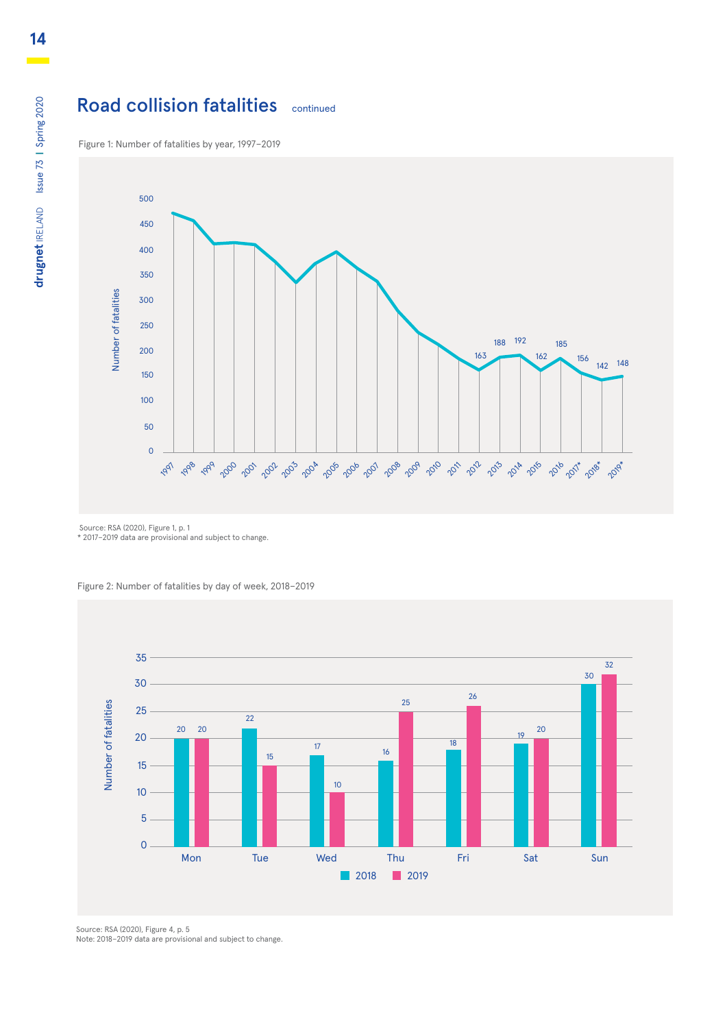### Road collision fatalities continued

Figure 1: Number of fatalities by year, 1997–2019



Source: RSA (2020), Figure 1, p. 1 \* 2017–2019 data are provisional and subject to change.

Figure 2: Number of fatalities by day of week, 2018–2019



Source: RSA (2020), Figure 4, p. 5 Note: 2018–2019 data are provisional and subject to change.

drugnet IRELAND Issue 73 | Spring 2020 **drugnet** IRELAND Issue 73 **|** Spring 2020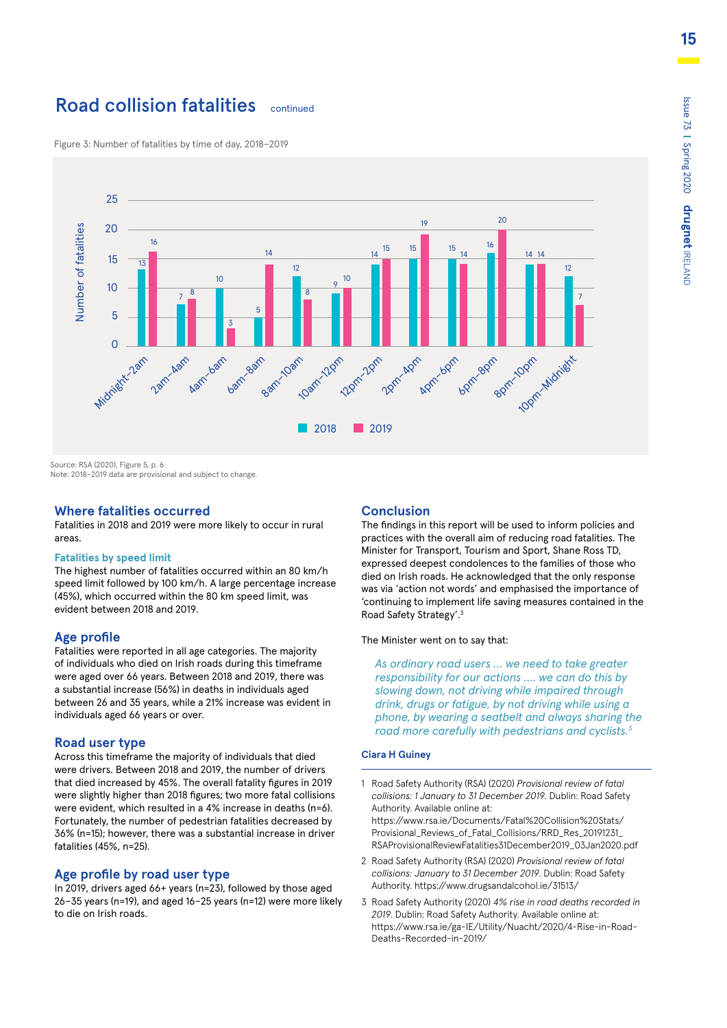### **Road collision fatalities** continued

25 20 19 Number of fatalities Number of fatalities 20 16 16 15 15 15 14 14  $14 \quad 14 \quad 14$ 15 13 12 **12 12 12 12 12 12 12 12 12 12 12 12 12** 12 10 10 9 10 <sup>7</sup> <sup>7</sup> <sup>8</sup> 8 5 5 3  $\Omega$ 8am–10am 10am-12pm Midnight-2am 12pm–2pm 8pm-10pm 2am–4am Aam-bam bam-8am 2pm-4pm Apm-6pm 6pm–8pm 10pm-Midrient 2018 2019

Figure 3: Number of fatalities by time of day, 2018–2019

Source: RSA (2020), Figure 5, p. 6

Note: 2018–2019 data are provisional and subject to change.

#### **Where fatalities occurred**

Fatalities in 2018 and 2019 were more likely to occur in rural areas.

#### **Fatalities by speed limit**

The highest number of fatalities occurred within an 80 km/h speed limit followed by 100 km/h. A large percentage increase (45%), which occurred within the 80 km speed limit, was evident between 2018 and 2019.

#### **Age profile**

Fatalities were reported in all age categories. The majority of individuals who died on Irish roads during this timeframe were aged over 66 years. Between 2018 and 2019, there was a substantial increase (56%) in deaths in individuals aged between 26 and 35 years, while a 21% increase was evident in individuals aged 66 years or over.

#### **Road user type**

Across this timeframe the majority of individuals that died were drivers. Between 2018 and 2019, the number of drivers that died increased by 45%. The overall fatality figures in 2019 were slightly higher than 2018 figures; two more fatal collisions were evident, which resulted in a 4% increase in deaths (n=6). Fortunately, the number of pedestrian fatalities decreased by 36% (n=15); however, there was a substantial increase in driver fatalities (45%, n=25).

#### **Age profile by road user type**

In 2019, drivers aged 66+ years (n=23), followed by those aged 26–35 years (n=19), and aged 16–25 years (n=12) were more likely to die on Irish roads.

#### **Conclusion**

The findings in this report will be used to inform policies and practices with the overall aim of reducing road fatalities. The Minister for Transport, Tourism and Sport, Shane Ross TD, expressed deepest condolences to the families of those who died on Irish roads. He acknowledged that the only response was via 'action not words' and emphasised the importance of 'continuing to implement life saving measures contained in the Road Safety Strategy'.3

The Minister went on to say that:

*As ordinary road users … we need to take greater responsibility for our actions …. we can do this by slowing down, not driving while impaired through drink, drugs or fatigue, by not driving while using a phone, by wearing a seatbelt and always sharing the road more carefully with pedestrians and cyclists.3*

#### **Ciara H Guiney**

- 1 Road Safety Authority (RSA) (2020) *Provisional review of fatal collisions: 1 January to 31 December 2019*. Dublin: Road Safety Authority. Available online at: [https://www.rsa.ie/Documents/Fatal%20Collision%20Stats/](https://www.rsa.ie/Documents/Fatal%20Collision%20Stats/Provisional_Reviews_of_Fatal_Collisions/RRD_R) [Provisional\\_Reviews\\_of\\_Fatal\\_Collisions/RRD\\_Res\\_20191231\\_](https://www.rsa.ie/Documents/Fatal%20Collision%20Stats/Provisional_Reviews_of_Fatal_Collisions/RRD_R) [RSAProvisionalReviewFatalities31December2019\\_03Jan2020.pdf](https://www.rsa.ie/Documents/Fatal%20Collision%20Stats/Provisional_Reviews_of_Fatal_Collisions/RRD_R)
- 2 Road Safety Authority (RSA) (2020) *Provisional review of fatal collisions: January to 31 December 2019*. Dublin: Road Safety Authority. https://www.drugsandalcohol.ie/31513/
- 3 Road Safety Authority (2020) *4% rise in road deaths recorded in 2019*. Dublin: Road Safety Authority. Available online at: https://www.rsa.ie/ga-IE/Utility/Nuacht/2020/4-Rise-in-Road-Deaths-Recorded-in-2019/

Spring 2020

**drugnet**

IRELAND

**15**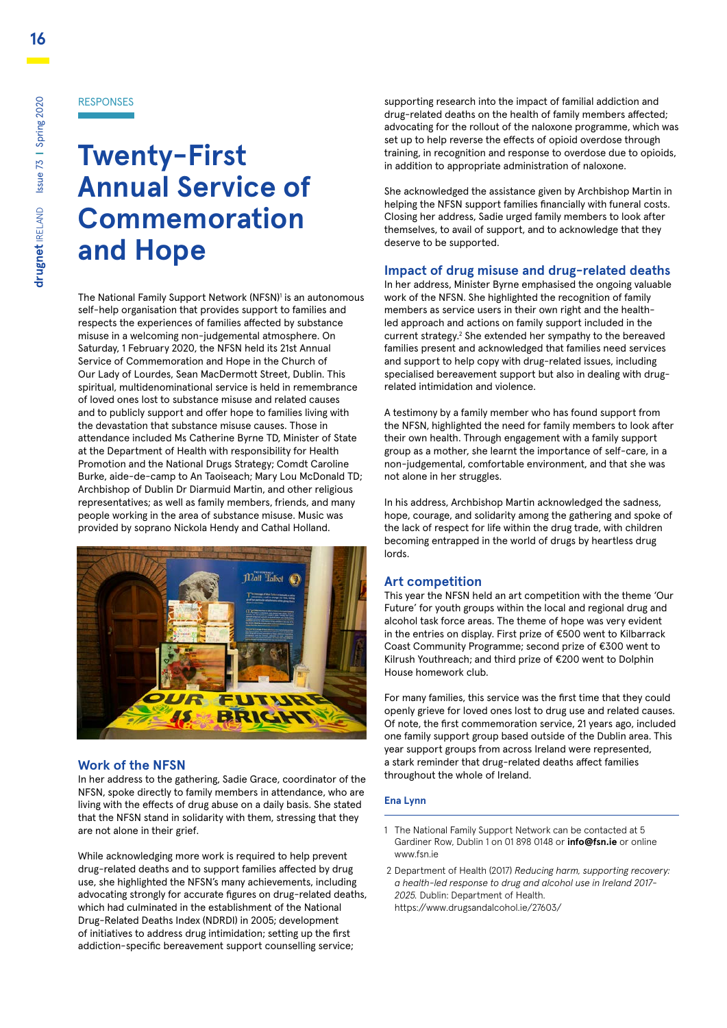**16**

#### RESPONSES

# **Twenty-First Annual Service of Commemoration and Hope**

The National Family Support Network (NFSN)<sup>1</sup> is an autonomous self-help organisation that provides support to families and respects the experiences of families affected by substance misuse in a welcoming non-judgemental atmosphere. On Saturday, 1 February 2020, the NFSN held its 21st Annual Service of Commemoration and Hope in the Church of Our Lady of Lourdes, Sean MacDermott Street, Dublin. This spiritual, multidenominational service is held in remembrance of loved ones lost to substance misuse and related causes and to publicly support and offer hope to families living with the devastation that substance misuse causes. Those in attendance included Ms Catherine Byrne TD, Minister of State at the Department of Health with responsibility for Health Promotion and the National Drugs Strategy; Comdt Caroline Burke, aide-de-camp to An Taoiseach; Mary Lou McDonald TD; Archbishop of Dublin Dr Diarmuid Martin, and other religious representatives; as well as family members, friends, and many people working in the area of substance misuse. Music was provided by soprano Nickola Hendy and Cathal Holland.



### **Work of the NFSN**

In her address to the gathering, Sadie Grace, coordinator of the NFSN, spoke directly to family members in attendance, who are living with the effects of drug abuse on a daily basis. She stated that the NFSN stand in solidarity with them, stressing that they are not alone in their grief.

While acknowledging more work is required to help prevent drug-related deaths and to support families affected by drug use, she highlighted the NFSN's many achievements, including advocating strongly for accurate figures on drug-related deaths, which had culminated in the establishment of the National Drug-Related Deaths Index (NDRDI) in 2005; development of initiatives to address drug intimidation; setting up the first addiction-specific bereavement support counselling service;

supporting research into the impact of familial addiction and drug-related deaths on the health of family members affected; advocating for the rollout of the naloxone programme, which was set up to help reverse the effects of opioid overdose through training, in recognition and response to overdose due to opioids, in addition to appropriate administration of naloxone.

She acknowledged the assistance given by Archbishop Martin in helping the NFSN support families financially with funeral costs. Closing her address, Sadie urged family members to look after themselves, to avail of support, and to acknowledge that they deserve to be supported.

### **Impact of drug misuse and drug-related deaths**

In her address, Minister Byrne emphasised the ongoing valuable work of the NFSN. She highlighted the recognition of family members as service users in their own right and the healthled approach and actions on family support included in the current strategy.2 She extended her sympathy to the bereaved families present and acknowledged that families need services and support to help copy with drug-related issues, including specialised bereavement support but also in dealing with drugrelated intimidation and violence.

A testimony by a family member who has found support from the NFSN, highlighted the need for family members to look after their own health. Through engagement with a family support group as a mother, she learnt the importance of self-care, in a non-judgemental, comfortable environment, and that she was not alone in her struggles.

In his address, Archbishop Martin acknowledged the sadness, hope, courage, and solidarity among the gathering and spoke of the lack of respect for life within the drug trade, with children becoming entrapped in the world of drugs by heartless drug lords.

### **Art competition**

This year the NFSN held an art competition with the theme 'Our Future' for youth groups within the local and regional drug and alcohol task force areas. The theme of hope was very evident in the entries on display. First prize of €500 went to Kilbarrack Coast Community Programme; second prize of €300 went to Kilrush Youthreach; and third prize of €200 went to Dolphin House homework club.

For many families, this service was the first time that they could openly grieve for loved ones lost to drug use and related causes. Of note, the first commemoration service, 21 years ago, included one family support group based outside of the Dublin area. This year support groups from across Ireland were represented, a stark reminder that drug-related deaths affect families throughout the whole of Ireland.

#### **Ena Lynn**

- 1 The National Family Support Network can be contacted at 5 Gardiner Row, Dublin 1 on 01 898 0148 or **info@fsn.ie** or online www.fsn.ie
- 2 Department of Health (2017) *Reducing harm, supporting recovery: a health-led response to drug and alcohol use in Ireland 2017- 2025.* Dublin: Department of Health. <https://www.drugsandalcohol.ie/27603/>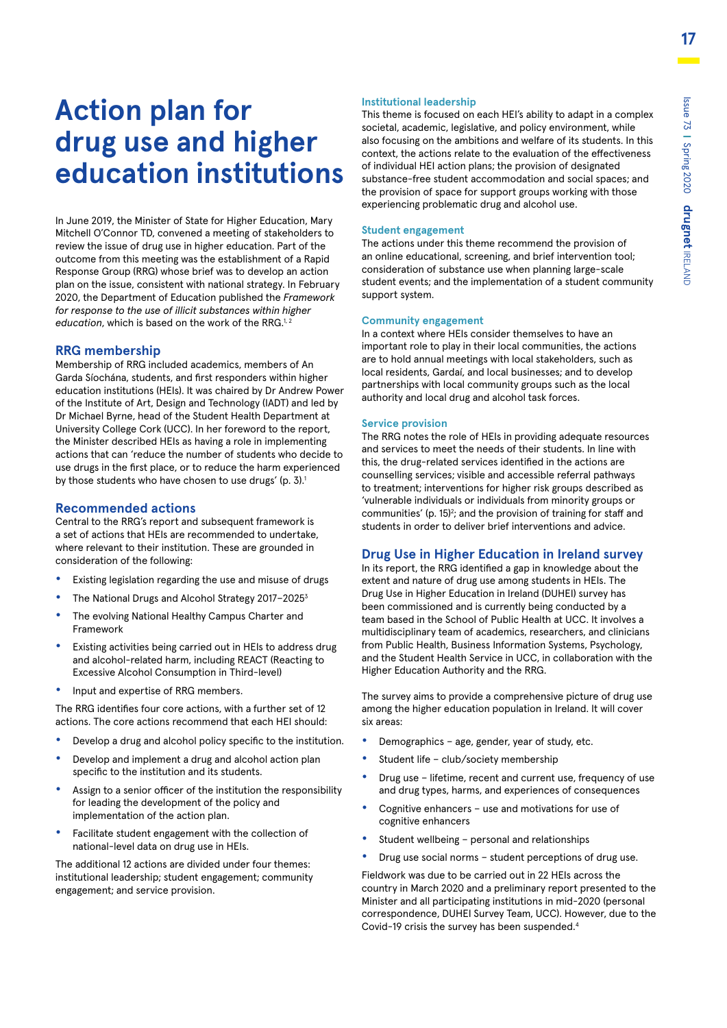# **Action plan for drug use and higher education institutions**

In June 2019, the Minister of State for Higher Education, Mary Mitchell O'Connor TD, convened a meeting of stakeholders to review the issue of drug use in higher education. Part of the outcome from this meeting was the establishment of a Rapid Response Group (RRG) whose brief was to develop an action plan on the issue, consistent with national strategy. In February 2020, the Department of Education published the *Framework for response to the use of illicit substances within higher education*, which is based on the work of the RRG.<sup>1,2</sup>

#### **RRG membership**

Membership of RRG included academics, members of An Garda Síochána, students, and first responders within higher education institutions (HEIs). It was chaired by Dr Andrew Power of the Institute of Art, Design and Technology (IADT) and led by Dr Michael Byrne, head of the Student Health Department at University College Cork (UCC). In her foreword to the report, the Minister described HEIs as having a role in implementing actions that can 'reduce the number of students who decide to use drugs in the first place, or to reduce the harm experienced by those students who have chosen to use drugs' (p. 3).<sup>1</sup>

#### **Recommended actions**

Central to the RRG's report and subsequent framework is a set of actions that HEIs are recommended to undertake, where relevant to their institution. These are grounded in consideration of the following:

- **•** Existing legislation regarding the use and misuse of drugs
- **•** The National Drugs and Alcohol Strategy 2017–20253
- **•** The evolving National Healthy Campus Charter and Framework
- **•** Existing activities being carried out in HEIs to address drug and alcohol-related harm, including REACT (Reacting to Excessive Alcohol Consumption in Third-level)
- **•** Input and expertise of RRG members.

The RRG identifies four core actions, with a further set of 12 actions. The core actions recommend that each HEI should:

- **•** Develop a drug and alcohol policy specific to the institution.
- **•** Develop and implement a drug and alcohol action plan specific to the institution and its students.
- **•** Assign to a senior officer of the institution the responsibility for leading the development of the policy and implementation of the action plan.
- **•** Facilitate student engagement with the collection of national-level data on drug use in HEIs.

The additional 12 actions are divided under four themes: institutional leadership; student engagement; community engagement; and service provision.

#### **Institutional leadership**

This theme is focused on each HEI's ability to adapt in a complex societal, academic, legislative, and policy environment, while also focusing on the ambitions and welfare of its students. In this context, the actions relate to the evaluation of the effectiveness of individual HEI action plans; the provision of designated substance-free student accommodation and social spaces; and the provision of space for support groups working with those experiencing problematic drug and alcohol use.

#### **Student engagement**

The actions under this theme recommend the provision of an online educational, screening, and brief intervention tool; consideration of substance use when planning large-scale student events; and the implementation of a student community support system.

#### **Community engagement**

In a context where HEIs consider themselves to have an important role to play in their local communities, the actions are to hold annual meetings with local stakeholders, such as local residents, Gardaí, and local businesses; and to develop partnerships with local community groups such as the local authority and local drug and alcohol task forces.

#### **Service provision**

The RRG notes the role of HEIs in providing adequate resources and services to meet the needs of their students. In line with this, the drug-related services identified in the actions are counselling services; visible and accessible referral pathways to treatment; interventions for higher risk groups described as 'vulnerable individuals or individuals from minority groups or communities' (p. 15)<sup>2</sup>; and the provision of training for staff and students in order to deliver brief interventions and advice.

#### **Drug Use in Higher Education in Ireland survey**

In its report, the RRG identified a gap in knowledge about the extent and nature of drug use among students in HEIs. The Drug Use in Higher Education in Ireland (DUHEI) survey has been commissioned and is currently being conducted by a team based in the School of Public Health at UCC. It involves a multidisciplinary team of academics, researchers, and clinicians from Public Health, Business Information Systems, Psychology, and the Student Health Service in UCC, in collaboration with the Higher Education Authority and the RRG.

The survey aims to provide a comprehensive picture of drug use among the higher education population in Ireland. It will cover six areas:

- **•** Demographics age, gender, year of study, etc.
- **•** Student life club/society membership
- **•** Drug use lifetime, recent and current use, frequency of use and drug types, harms, and experiences of consequences
- **•** Cognitive enhancers use and motivations for use of cognitive enhancers
- **•** Student wellbeing personal and relationships
- **•** Drug use social norms student perceptions of drug use.

Fieldwork was due to be carried out in 22 HEIs across the country in March 2020 and a preliminary report presented to the Minister and all participating institutions in mid-2020 (personal correspondence, DUHEI Survey Team, UCC). However, due to the Covid-19 crisis the survey has been suspended.4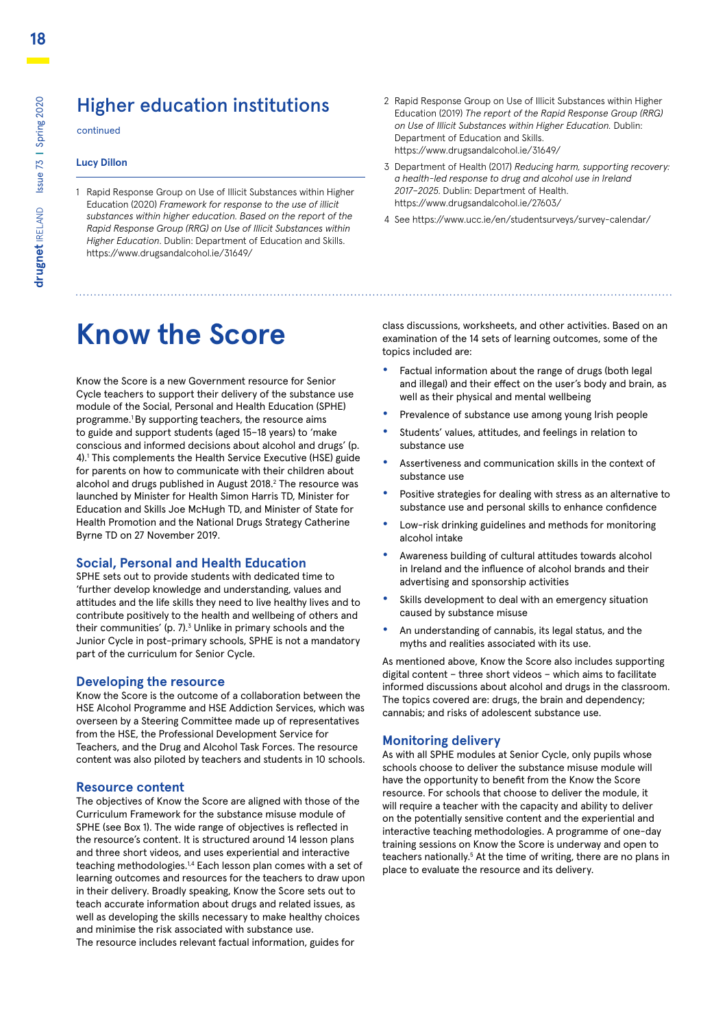### Higher education institutions

continued

#### **Lucy Dillon**

- 1 Rapid Response Group on Use of Illicit Substances within Higher Education (2020) *Framework for response to the use of illicit substances within higher education. Based on the report of the Rapid Response Group (RRG) on Use of Illicit Substances within Higher Education*. Dublin: Department of Education and Skills. https://www.drugsandalcohol.ie/31649/
- **Know the Score**

Know the Score is a new Government resource for Senior Cycle teachers to support their delivery of the substance use module of the Social, Personal and Health Education (SPHE) programme.1 By supporting teachers, the resource aims to guide and support students (aged 15–18 years) to 'make conscious and informed decisions about alcohol and drugs' (p. 4).1 This complements the Health Service Executive (HSE) guide for parents on how to communicate with their children about alcohol and drugs published in August 2018.<sup>2</sup> The resource was launched by Minister for Health Simon Harris TD, Minister for Education and Skills Joe McHugh TD, and Minister of State for Health Promotion and the National Drugs Strategy Catherine Byrne TD on 27 November 2019.

#### **Social, Personal and Health Education**

SPHE sets out to provide students with dedicated time to 'further develop knowledge and understanding, values and attitudes and the life skills they need to live healthy lives and to contribute positively to the health and wellbeing of others and their communities' (p. 7).<sup>3</sup> Unlike in primary schools and the Junior Cycle in post-primary schools, SPHE is not a mandatory part of the curriculum for Senior Cycle.

#### **Developing the resource**

Know the Score is the outcome of a collaboration between the HSE Alcohol Programme and HSE Addiction Services, which was overseen by a Steering Committee made up of representatives from the HSE, the Professional Development Service for Teachers, and the Drug and Alcohol Task Forces. The resource content was also piloted by teachers and students in 10 schools.

#### **Resource content**

The objectives of Know the Score are aligned with those of the Curriculum Framework for the substance misuse module of SPHE (see Box 1). The wide range of objectives is reflected in the resource's content. It is structured around 14 lesson plans and three short videos, and uses experiential and interactive teaching methodologies.<sup>1,4</sup> Each lesson plan comes with a set of learning outcomes and resources for the teachers to draw upon in their delivery. Broadly speaking, Know the Score sets out to teach accurate information about drugs and related issues, as well as developing the skills necessary to make healthy choices and minimise the risk associated with substance use. The resource includes relevant factual information, guides for

- 2 Rapid Response Group on Use of Illicit Substances within Higher Education (2019) *The report of the Rapid Response Group (RRG) on Use of Illicit Substances within Higher Education.* Dublin: Department of Education and Skills. <https://www.drugsandalcohol.ie/31649/>
- 3 Department of Health (2017) *Reducing harm, supporting recovery: a health-led response to drug and alcohol use in Ireland 2017–2025*. Dublin: Department of Health. https://www.drugsandalcohol.ie/27603/
- 4 See https://www.ucc.ie/en/studentsurveys/survey-calendar/

class discussions, worksheets, and other activities. Based on an examination of the 14 sets of learning outcomes, some of the topics included are:

- **•** Factual information about the range of drugs (both legal and illegal) and their effect on the user's body and brain, as well as their physical and mental wellbeing
- **•** Prevalence of substance use among young Irish people
- **•** Students' values, attitudes, and feelings in relation to substance use
- **•** Assertiveness and communication skills in the context of substance use
- **•** Positive strategies for dealing with stress as an alternative to substance use and personal skills to enhance confidence
- **•** Low-risk drinking guidelines and methods for monitoring alcohol intake
- **•** Awareness building of cultural attitudes towards alcohol in Ireland and the influence of alcohol brands and their advertising and sponsorship activities
- **•** Skills development to deal with an emergency situation caused by substance misuse
- **•** An understanding of cannabis, its legal status, and the myths and realities associated with its use.

As mentioned above, Know the Score also includes supporting digital content – three short videos – which aims to facilitate informed discussions about alcohol and drugs in the classroom. The topics covered are: drugs, the brain and dependency; cannabis; and risks of adolescent substance use.

#### **Monitoring delivery**

As with all SPHE modules at Senior Cycle, only pupils whose schools choose to deliver the substance misuse module will have the opportunity to benefit from the Know the Score resource. For schools that choose to deliver the module, it will require a teacher with the capacity and ability to deliver on the potentially sensitive content and the experiential and interactive teaching methodologies. A programme of one-day training sessions on Know the Score is underway and open to teachers nationally.<sup>5</sup> At the time of writing, there are no plans in place to evaluate the resource and its delivery.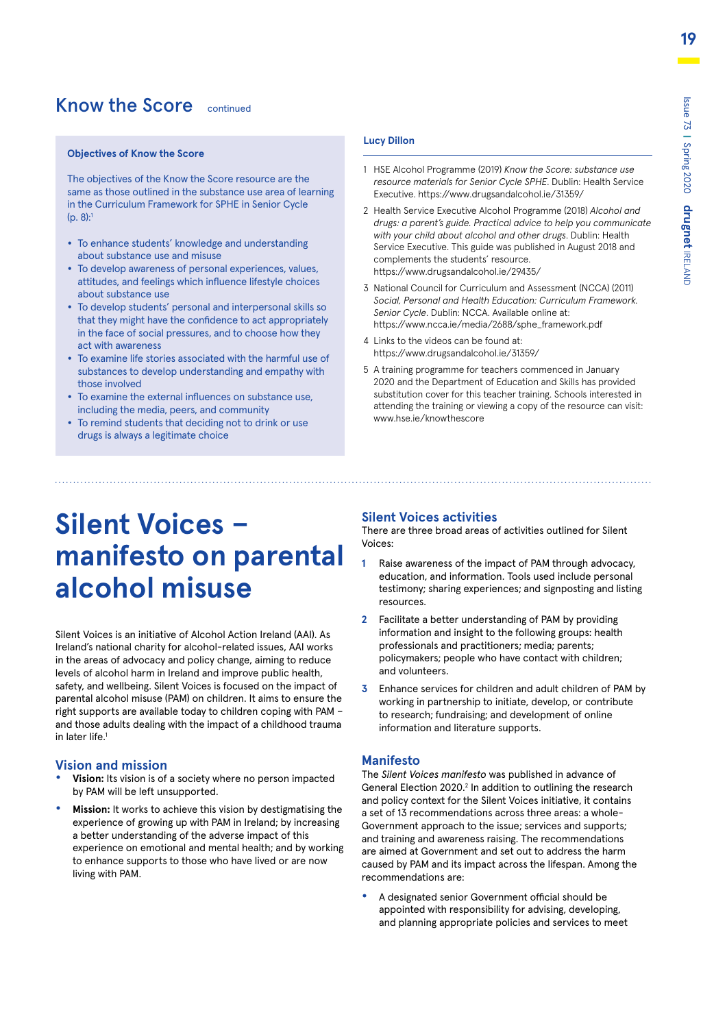### Know the Score continued

#### **Objectives of Know the Score**

The objectives of the Know the Score resource are the same as those outlined in the substance use area of learning in the Curriculum Framework for SPHE in Senior Cycle (p. 8):1

- To enhance students' knowledge and understanding about substance use and misuse
- To develop awareness of personal experiences, values, attitudes, and feelings which influence lifestyle choices about substance use
- To develop students' personal and interpersonal skills so that they might have the confidence to act appropriately in the face of social pressures, and to choose how they act with awareness
- To examine life stories associated with the harmful use of substances to develop understanding and empathy with those involved
- To examine the external influences on substance use, including the media, peers, and community
- To remind students that deciding not to drink or use drugs is always a legitimate choice

#### **Lucy Dillon**

- 1 HSE Alcohol Programme (2019) *Know the Score: substance use resource materials for Senior Cycle SPHE*. Dublin: Health Service Executive. https://www.drugsandalcohol.ie/31359/
- 2 Health Service Executive Alcohol Programme (2018) *Alcohol and drugs: a parent's guide. Practical advice to help you communicate with your child about alcohol and other drugs*. Dublin: Health Service Executive. This guide was published in August 2018 and complements the students' resource. https://www.drugsandalcohol.ie/29435/
- 3 National Council for Curriculum and Assessment (NCCA) (2011) *Social, Personal and Health Education: Curriculum Framework. Senior Cycle*. Dublin: NCCA. Available online at: [https://www.ncca.ie/media/2688/sphe\\_framework.pdf](https://www.ncca.ie/media/2688/sphe_framework.pdf)
- 4 Links to the videos can be found at: <https://www.drugsandalcohol.ie/31359/>
- 5 A training programme for teachers commenced in January 2020 and the Department of Education and Skills has provided substitution cover for this teacher training. Schools interested in attending the training or viewing a copy of the resource can visit: www.hse.ie/knowthescore

# **Silent Voices – manifesto on parental alcohol misuse**

Silent Voices is an initiative of Alcohol Action Ireland (AAI). As Ireland's national charity for alcohol-related issues, AAI works in the areas of advocacy and policy change, aiming to reduce levels of alcohol harm in Ireland and improve public health, safety, and wellbeing. Silent Voices is focused on the impact of parental alcohol misuse (PAM) on children. It aims to ensure the right supports are available today to children coping with PAM – and those adults dealing with the impact of a childhood trauma in later life.<sup>1</sup>

#### **Vision and mission**

- **• Vision:** Its vision is of a society where no person impacted by PAM will be left unsupported.
- **• Mission:** It works to achieve this vision by destigmatising the experience of growing up with PAM in Ireland; by increasing a better understanding of the adverse impact of this experience on emotional and mental health; and by working to enhance supports to those who have lived or are now living with PAM.

#### **Silent Voices activities**

There are three broad areas of activities outlined for Silent Voices:

- **1** Raise awareness of the impact of PAM through advocacy, education, and information. Tools used include personal testimony; sharing experiences; and signposting and listing resources.
- **2** Facilitate a better understanding of PAM by providing information and insight to the following groups: health professionals and practitioners; media; parents; policymakers; people who have contact with children; and volunteers.
- **3** Enhance services for children and adult children of PAM by working in partnership to initiate, develop, or contribute to research; fundraising; and development of online information and literature supports.

#### **Manifesto**

The *Silent Voices manifesto* was published in advance of General Election 2020.<sup>2</sup> In addition to outlining the research and policy context for the Silent Voices initiative, it contains a set of 13 recommendations across three areas: a whole-Government approach to the issue; services and supports; and training and awareness raising. The recommendations are aimed at Government and set out to address the harm caused by PAM and its impact across the lifespan. Among the recommendations are:

**•** A designated senior Government official should be appointed with responsibility for advising, developing, and planning appropriate policies and services to meet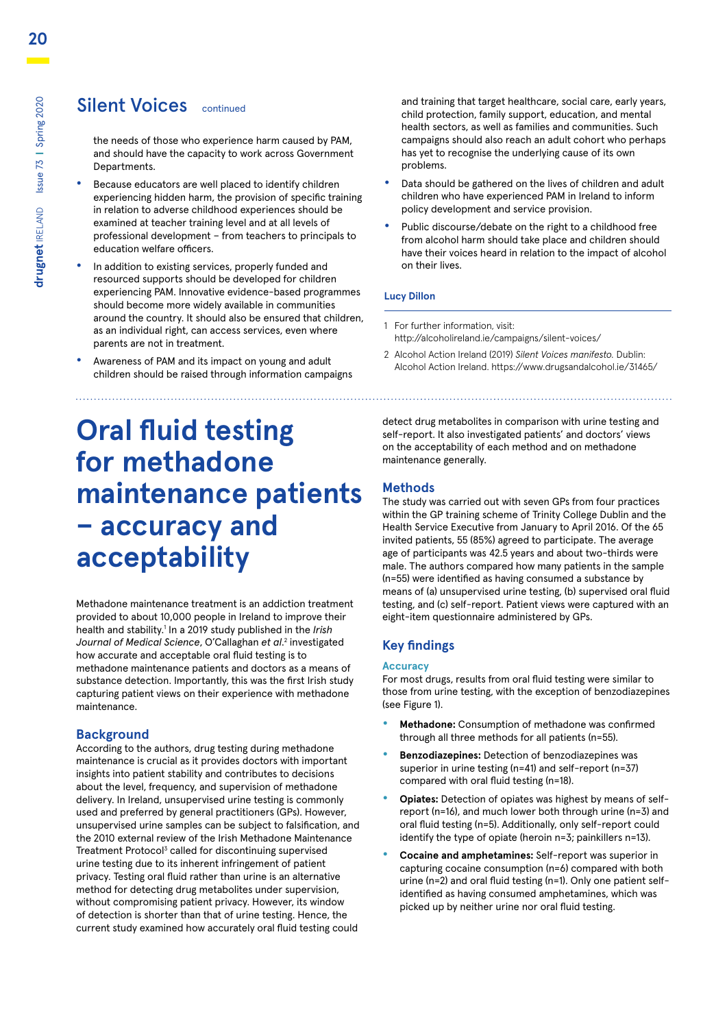### Silent Voices continued

the needs of those who experience harm caused by PAM, and should have the capacity to work across Government Departments.

- **•** Because educators are well placed to identify children experiencing hidden harm, the provision of specific training in relation to adverse childhood experiences should be examined at teacher training level and at all levels of professional development – from teachers to principals to education welfare officers.
- **•** In addition to existing services, properly funded and resourced supports should be developed for children experiencing PAM. Innovative evidence-based programmes should become more widely available in communities around the country. It should also be ensured that children, as an individual right, can access services, even where parents are not in treatment.
- **•** Awareness of PAM and its impact on young and adult children should be raised through information campaigns

and training that target healthcare, social care, early years, child protection, family support, education, and mental health sectors, as well as families and communities. Such campaigns should also reach an adult cohort who perhaps has yet to recognise the underlying cause of its own problems.

- **•** Data should be gathered on the lives of children and adult children who have experienced PAM in Ireland to inform policy development and service provision.
- **•** Public discourse/debate on the right to a childhood free from alcohol harm should take place and children should have their voices heard in relation to the impact of alcohol on their lives.

#### **Lucy Dillon**

- 1 For further information, visit: http://alcoholireland.ie/campaigns/silent-voices/
- 2 Alcohol Action Ireland (2019) *Silent Voices manifesto.* Dublin: Alcohol Action Ireland. https://www.drugsandalcohol.ie/31465/

# **Oral fluid testing for methadone maintenance patients – accuracy and acceptability**

Methadone maintenance treatment is an addiction treatment provided to about 10,000 people in Ireland to improve their health and stability.1 In a 2019 study published in the *Irish Journal of Medical Science*, O'Callaghan *et al*. 2 investigated how accurate and acceptable oral fluid testing is to methadone maintenance patients and doctors as a means of substance detection. Importantly, this was the first Irish study capturing patient views on their experience with methadone maintenance.

#### **Background**

According to the authors, drug testing during methadone maintenance is crucial as it provides doctors with important insights into patient stability and contributes to decisions about the level, frequency, and supervision of methadone delivery. In Ireland, unsupervised urine testing is commonly used and preferred by general practitioners (GPs). However, unsupervised urine samples can be subject to falsification, and the 2010 external review of the Irish Methadone Maintenance Treatment Protocol<sup>3</sup> called for discontinuing supervised urine testing due to its inherent infringement of patient privacy. Testing oral fluid rather than urine is an alternative method for detecting drug metabolites under supervision, without compromising patient privacy. However, its window of detection is shorter than that of urine testing. Hence, the current study examined how accurately oral fluid testing could

detect drug metabolites in comparison with urine testing and self-report. It also investigated patients' and doctors' views on the acceptability of each method and on methadone maintenance generally.

#### **Methods**

The study was carried out with seven GPs from four practices within the GP training scheme of Trinity College Dublin and the Health Service Executive from January to April 2016. Of the 65 invited patients, 55 (85%) agreed to participate. The average age of participants was 42.5 years and about two-thirds were male. The authors compared how many patients in the sample (n=55) were identified as having consumed a substance by means of (a) unsupervised urine testing, (b) supervised oral fluid testing, and (c) self-report. Patient views were captured with an eight-item questionnaire administered by GPs.

#### **Key findings**

#### **Accuracy**

For most drugs, results from oral fluid testing were similar to those from urine testing, with the exception of benzodiazepines (see Figure 1).

- **• Methadone:** Consumption of methadone was confirmed through all three methods for all patients (n=55).
- **• Benzodiazepines:** Detection of benzodiazepines was superior in urine testing (n=41) and self-report (n=37) compared with oral fluid testing (n=18).
- **• Opiates:** Detection of opiates was highest by means of selfreport (n=16), and much lower both through urine (n=3) and oral fluid testing (n=5). Additionally, only self-report could identify the type of opiate (heroin n=3; painkillers n=13).
- **• Cocaine and amphetamines:** Self-report was superior in capturing cocaine consumption (n=6) compared with both urine (n=2) and oral fluid testing (n=1). Only one patient selfidentified as having consumed amphetamines, which was picked up by neither urine nor oral fluid testing.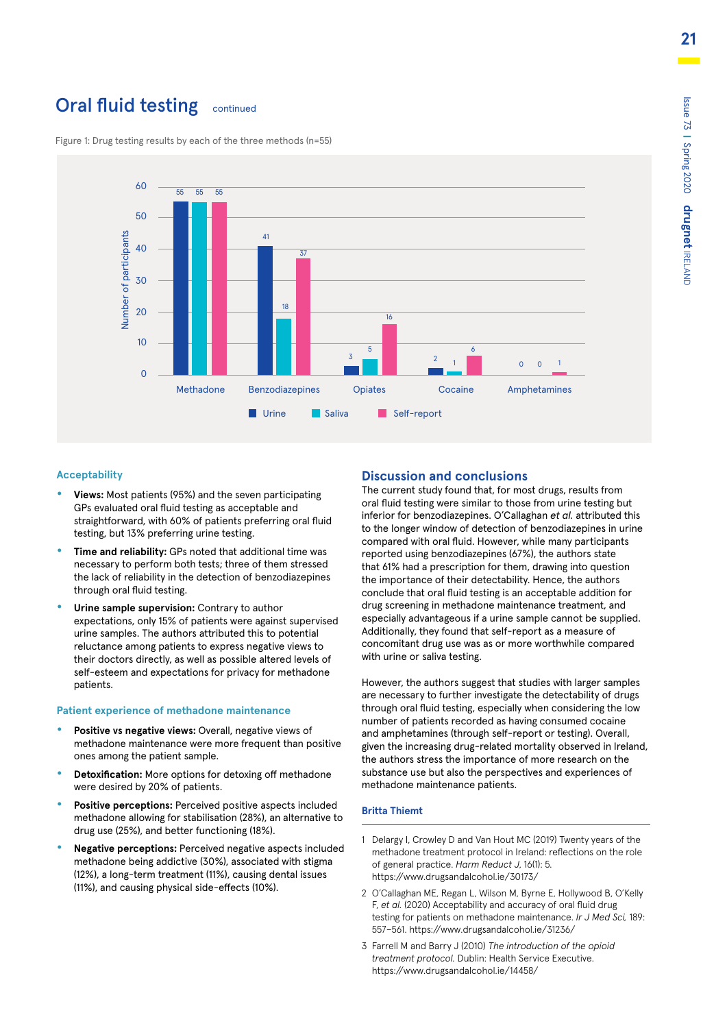### **Oral fluid testing** continued



Figure 1: Drug testing results by each of the three methods (n=55)

#### **Acceptability**

- **• Views:** Most patients (95%) and the seven participating GPs evaluated oral fluid testing as acceptable and straightforward, with 60% of patients preferring oral fluid testing, but 13% preferring urine testing.
- **• Time and reliability:** GPs noted that additional time was necessary to perform both tests; three of them stressed the lack of reliability in the detection of benzodiazepines through oral fluid testing.
- **• Urine sample supervision:** Contrary to author expectations, only 15% of patients were against supervised urine samples. The authors attributed this to potential reluctance among patients to express negative views to their doctors directly, as well as possible altered levels of self-esteem and expectations for privacy for methadone patients.

#### **Patient experience of methadone maintenance**

- **• Positive vs negative views:** Overall, negative views of methadone maintenance were more frequent than positive ones among the patient sample.
- **• Detoxification:** More options for detoxing off methadone were desired by 20% of patients.
- **• Positive perceptions:** Perceived positive aspects included methadone allowing for stabilisation (28%), an alternative to drug use (25%), and better functioning (18%).
- **• Negative perceptions:** Perceived negative aspects included methadone being addictive (30%), associated with stigma (12%), a long-term treatment (11%), causing dental issues (11%), and causing physical side-effects (10%).

#### **Discussion and conclusions**

The current study found that, for most drugs, results from oral fluid testing were similar to those from urine testing but inferior for benzodiazepines. O'Callaghan *et al.* attributed this to the longer window of detection of benzodiazepines in urine compared with oral fluid. However, while many participants reported using benzodiazepines (67%), the authors state that 61% had a prescription for them, drawing into question the importance of their detectability. Hence, the authors conclude that oral fluid testing is an acceptable addition for drug screening in methadone maintenance treatment, and especially advantageous if a urine sample cannot be supplied. Additionally, they found that self-report as a measure of concomitant drug use was as or more worthwhile compared with urine or saliva testing.

However, the authors suggest that studies with larger samples are necessary to further investigate the detectability of drugs through oral fluid testing, especially when considering the low number of patients recorded as having consumed cocaine and amphetamines (through self-report or testing). Overall, given the increasing drug-related mortality observed in Ireland, the authors stress the importance of more research on the substance use but also the perspectives and experiences of methadone maintenance patients.

#### **Britta Thiemt**

- 1 Delargy I, Crowley D and Van Hout MC (2019) Twenty years of the methadone treatment protocol in Ireland: reflections on the role of general practice. *Harm Reduct J*, 16(1): 5. https://www.drugsandalcohol.ie/30173/
- 2 O'Callaghan ME, Regan L, Wilson M, Byrne E, Hollywood B, O'Kelly F, *et al.* (2020) Acceptability and accuracy of oral fluid drug testing for patients on methadone maintenance. *Ir J Med Sci,* 189: 557–561. https://www.drugsandalcohol.ie/31236/
- 3 Farrell M and Barry J (2010) *The introduction of the opioid treatment protocol.* Dublin: Health Service Executive. https://www.drugsandalcohol.ie/14458/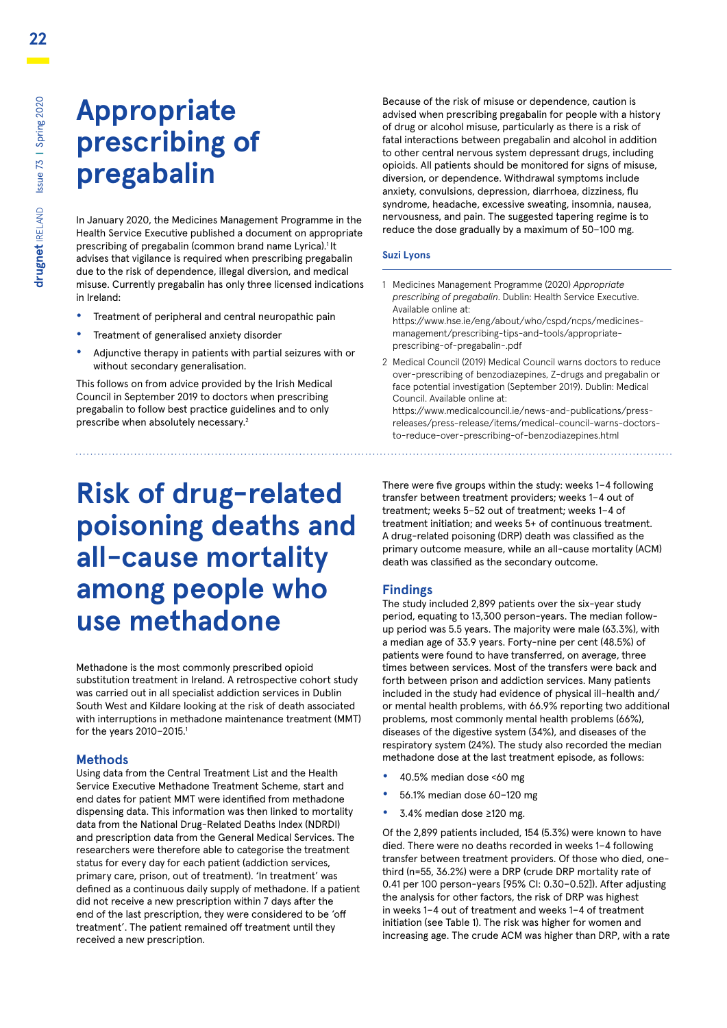# **Appropriate prescribing of pregabalin**

In January 2020, the Medicines Management Programme in the Health Service Executive published a document on appropriate prescribing of pregabalin (common brand name Lyrica).<sup>1</sup>It advises that vigilance is required when prescribing pregabalin due to the risk of dependence, illegal diversion, and medical misuse. Currently pregabalin has only three licensed indications in Ireland:

- **•** Treatment of peripheral and central neuropathic pain
- **•** Treatment of generalised anxiety disorder
- **•** Adjunctive therapy in patients with partial seizures with or without secondary generalisation.

This follows on from advice provided by the Irish Medical Council in September 2019 to doctors when prescribing pregabalin to follow best practice guidelines and to only prescribe when absolutely necessary.2

# **Risk of drug-related poisoning deaths and all-cause mortality among people who use methadone**

Methadone is the most commonly prescribed opioid substitution treatment in Ireland. A retrospective cohort study was carried out in all specialist addiction services in Dublin South West and Kildare looking at the risk of death associated with interruptions in methadone maintenance treatment (MMT) for the years 2010–2015.1

#### **Methods**

Using data from the Central Treatment List and the Health Service Executive Methadone Treatment Scheme, start and end dates for patient MMT were identified from methadone dispensing data. This information was then linked to mortality data from the National Drug-Related Deaths Index (NDRDI) and prescription data from the General Medical Services. The researchers were therefore able to categorise the treatment status for every day for each patient (addiction services, primary care, prison, out of treatment). 'In treatment' was defined as a continuous daily supply of methadone. If a patient did not receive a new prescription within 7 days after the end of the last prescription, they were considered to be 'off treatment'. The patient remained off treatment until they received a new prescription.

Because of the risk of misuse or dependence, caution is advised when prescribing pregabalin for people with a history of drug or alcohol misuse, particularly as there is a risk of fatal interactions between pregabalin and alcohol in addition to other central nervous system depressant drugs, including opioids. All patients should be monitored for signs of misuse, diversion, or dependence. Withdrawal symptoms include anxiety, convulsions, depression, diarrhoea, dizziness, flu syndrome, headache, excessive sweating, insomnia, nausea, nervousness, and pain. The suggested tapering regime is to reduce the dose gradually by a maximum of 50–100 mg.

#### **Suzi Lyons**

1 Medicines Management Programme (2020) *Appropriate prescribing of pregabalin*. Dublin: Health Service Executive. Available online at:

[https://www.hse.ie/eng/about/who/cspd/ncps/medicines](https://www.hse.ie/eng/about/who/cspd/ncps/medicines-management/prescribing-tips-and-tools/appropriate-prescribing-of-pregabalin-.pdf)[management/prescribing-tips-and-tools/appropriate](https://www.hse.ie/eng/about/who/cspd/ncps/medicines-management/prescribing-tips-and-tools/appropriate-prescribing-of-pregabalin-.pdf)[prescribing-of-pregabalin-.pdf](https://www.hse.ie/eng/about/who/cspd/ncps/medicines-management/prescribing-tips-and-tools/appropriate-prescribing-of-pregabalin-.pdf)

2 Medical Council (2019) Medical Council warns doctors to reduce over-prescribing of benzodiazepines, Z-drugs and pregabalin or face potential investigation (September 2019). Dublin: Medical Council. Available online at:

[https://www.medicalcouncil.ie/news-and-publications/press](https://www.medicalcouncil.ie/news-and-publications/press-releases/press-release/items/medical-council-warns-doctors-to-reduce-over-prescribing-of-benzodiazepines.html)[releases/press-release/items/medical-council-warns-doctors](https://www.medicalcouncil.ie/news-and-publications/press-releases/press-release/items/medical-council-warns-doctors-to-reduce-over-prescribing-of-benzodiazepines.html)[to-reduce-over-prescribing-of-benzodiazepines.html](https://www.medicalcouncil.ie/news-and-publications/press-releases/press-release/items/medical-council-warns-doctors-to-reduce-over-prescribing-of-benzodiazepines.html)

There were five groups within the study: weeks 1–4 following transfer between treatment providers; weeks 1–4 out of treatment; weeks 5–52 out of treatment; weeks 1–4 of treatment initiation; and weeks 5+ of continuous treatment. A drug-related poisoning (DRP) death was classified as the primary outcome measure, while an all-cause mortality (ACM) death was classified as the secondary outcome.

#### **Findings**

The study included 2,899 patients over the six-year study period, equating to 13,300 person-years. The median followup period was 5.5 years. The majority were male (63.3%), with a median age of 33.9 years. Forty-nine per cent (48.5%) of patients were found to have transferred, on average, three times between services. Most of the transfers were back and forth between prison and addiction services. Many patients included in the study had evidence of physical ill-health and/ or mental health problems, with 66.9% reporting two additional problems, most commonly mental health problems (66%), diseases of the digestive system (34%), and diseases of the respiratory system (24%). The study also recorded the median methadone dose at the last treatment episode, as follows:

- **•** 40.5% median dose <60 mg
- **•** 56.1% median dose 60–120 mg
- **•** 3.4% median dose ≥120 mg.

Of the 2,899 patients included, 154 (5.3%) were known to have died. There were no deaths recorded in weeks 1–4 following transfer between treatment providers. Of those who died, onethird (n=55, 36.2%) were a DRP (crude DRP mortality rate of 0.41 per 100 person-years [95% CI: 0.30–0.52]). After adjusting the analysis for other factors, the risk of DRP was highest in weeks 1–4 out of treatment and weeks 1–4 of treatment initiation (see Table 1). The risk was higher for women and increasing age. The crude ACM was higher than DRP, with a rate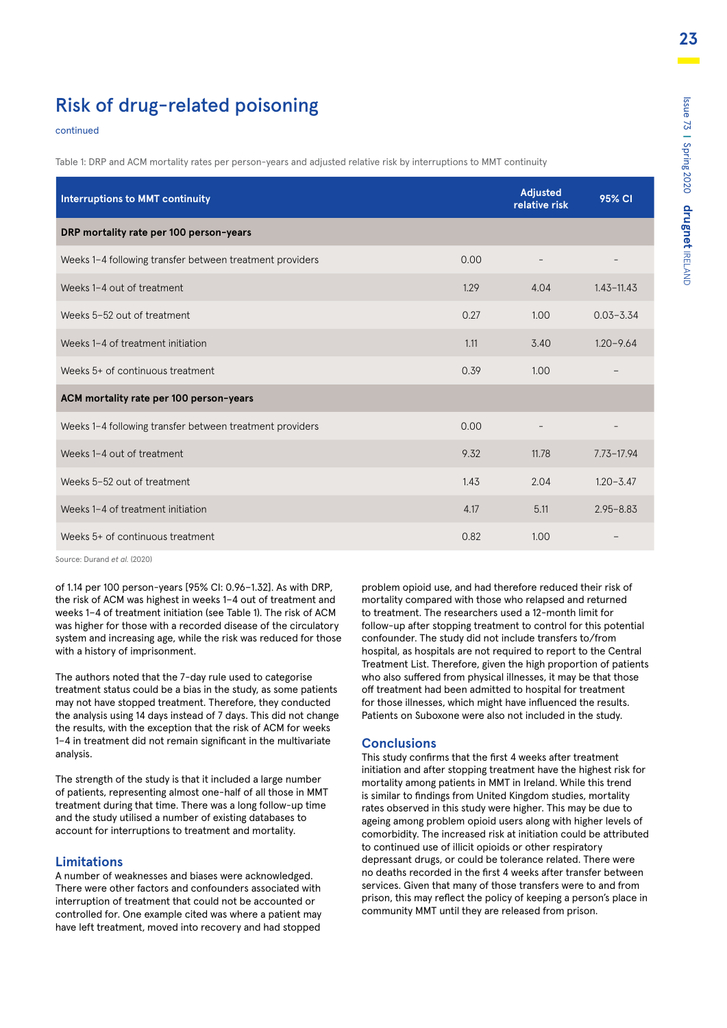### Risk of drug-related poisoning

#### continued

Table 1: DRP and ACM mortality rates per person-years and adjusted relative risk by interruptions to MMT continuity

| <b>Interruptions to MMT continuity</b>                   | Adjusted<br>relative risk | 95% CI |                |
|----------------------------------------------------------|---------------------------|--------|----------------|
| DRP mortality rate per 100 person-years                  |                           |        |                |
| Weeks 1-4 following transfer between treatment providers | 0.00                      |        |                |
| Weeks 1-4 out of treatment                               | 1.29                      | 4.04   | $1.43 - 11.43$ |
| Weeks 5-52 out of treatment                              | 0.27                      | 1.00   | $0.03 - 3.34$  |
| Weeks 1-4 of treatment initiation                        | 1.11                      | 3.40   | $1.20 - 9.64$  |
| Weeks 5+ of continuous treatment                         | 0.39                      | 1.00   |                |
| ACM mortality rate per 100 person-years                  |                           |        |                |
| Weeks 1-4 following transfer between treatment providers | 0.00                      |        | -              |
| Weeks 1-4 out of treatment                               | 9.32                      | 11.78  | $7.73 - 17.94$ |
| Weeks 5-52 out of treatment                              | 1.43                      | 2.04   | $1.20 - 3.47$  |
| Weeks 1-4 of treatment initiation                        | 4.17                      | 5.11   | $2.95 - 8.83$  |
| Weeks 5+ of continuous treatment                         | 0.82                      | 1.00   |                |

Source: Durand *et al.* (2020)

of 1.14 per 100 person-years [95% CI: 0.96–1.32]. As with DRP, the risk of ACM was highest in weeks 1–4 out of treatment and weeks 1–4 of treatment initiation (see Table 1). The risk of ACM was higher for those with a recorded disease of the circulatory system and increasing age, while the risk was reduced for those with a history of imprisonment.

The authors noted that the 7-day rule used to categorise treatment status could be a bias in the study, as some patients may not have stopped treatment. Therefore, they conducted the analysis using 14 days instead of 7 days. This did not change the results, with the exception that the risk of ACM for weeks 1–4 in treatment did not remain significant in the multivariate analysis.

The strength of the study is that it included a large number of patients, representing almost one-half of all those in MMT treatment during that time. There was a long follow-up time and the study utilised a number of existing databases to account for interruptions to treatment and mortality.

#### **Limitations**

A number of weaknesses and biases were acknowledged. There were other factors and confounders associated with interruption of treatment that could not be accounted or controlled for. One example cited was where a patient may have left treatment, moved into recovery and had stopped problem opioid use, and had therefore reduced their risk of mortality compared with those who relapsed and returned to treatment. The researchers used a 12-month limit for follow-up after stopping treatment to control for this potential confounder. The study did not include transfers to/from hospital, as hospitals are not required to report to the Central Treatment List. Therefore, given the high proportion of patients who also suffered from physical illnesses, it may be that those off treatment had been admitted to hospital for treatment for those illnesses, which might have influenced the results. Patients on Suboxone were also not included in the study.

#### **Conclusions**

This study confirms that the first 4 weeks after treatment initiation and after stopping treatment have the highest risk for mortality among patients in MMT in Ireland. While this trend is similar to findings from United Kingdom studies, mortality rates observed in this study were higher. This may be due to ageing among problem opioid users along with higher levels of comorbidity. The increased risk at initiation could be attributed to continued use of illicit opioids or other respiratory depressant drugs, or could be tolerance related. There were no deaths recorded in the first 4 weeks after transfer between services. Given that many of those transfers were to and from prison, this may reflect the policy of keeping a person's place in community MMT until they are released from prison.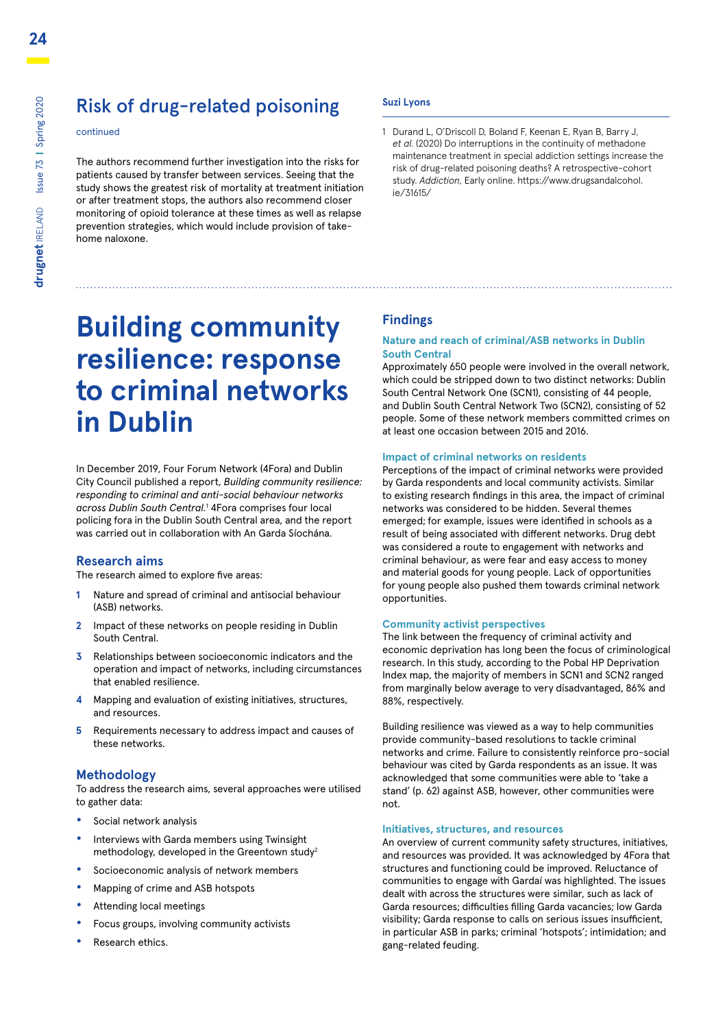### Risk of drug-related poisoning

#### continued

The authors recommend further investigation into the risks for patients caused by transfer between services. Seeing that the study shows the greatest risk of mortality at treatment initiation or after treatment stops, the authors also recommend closer monitoring of opioid tolerance at these times as well as relapse prevention strategies, which would include provision of takehome naloxone.

# **Building community resilience: response to criminal networks in Dublin**

In December 2019, Four Forum Network (4Fora) and Dublin City Council published a report, *Building community resilience: responding to criminal and anti-social behaviour networks across Dublin South Central.*<sup>1</sup> 4Fora comprises four local policing fora in the Dublin South Central area, and the report was carried out in collaboration with An Garda Síochána.

#### **Research aims**

The research aimed to explore five areas:

- **1** Nature and spread of criminal and antisocial behaviour (ASB) networks.
- **2** Impact of these networks on people residing in Dublin South Central.
- **3** Relationships between socioeconomic indicators and the operation and impact of networks, including circumstances that enabled resilience.
- **4** Mapping and evaluation of existing initiatives, structures, and resources.
- **5** Requirements necessary to address impact and causes of these networks.

#### **Methodology**

To address the research aims, several approaches were utilised to gather data:

- **•** Social network analysis
- **•** Interviews with Garda members using Twinsight methodology, developed in the Greentown study<sup>2</sup>
- **•** Socioeconomic analysis of network members
- **•** Mapping of crime and ASB hotspots
- **•** Attending local meetings
- **•** Focus groups, involving community activists
- **•** Research ethics.

#### **Suzi Lyons**

1 Durand L, O'Driscoll D, Boland F, Keenan E, Ryan B, Barry J, *et al*. (2020) Do interruptions in the continuity of methadone maintenance treatment in special addiction settings increase the risk of drug-related poisoning deaths? A retrospective-cohort study. *Addiction*, Early online. https://www.drugsandalcohol. ie/31615/

#### **Findings**

#### **Nature and reach of criminal/ASB networks in Dublin South Central**

Approximately 650 people were involved in the overall network, which could be stripped down to two distinct networks: Dublin South Central Network One (SCN1), consisting of 44 people, and Dublin South Central Network Two (SCN2), consisting of 52 people. Some of these network members committed crimes on at least one occasion between 2015 and 2016.

#### **Impact of criminal networks on residents**

Perceptions of the impact of criminal networks were provided by Garda respondents and local community activists. Similar to existing research findings in this area, the impact of criminal networks was considered to be hidden. Several themes emerged; for example, issues were identified in schools as a result of being associated with different networks. Drug debt was considered a route to engagement with networks and criminal behaviour, as were fear and easy access to money and material goods for young people. Lack of opportunities for young people also pushed them towards criminal network opportunities.

#### **Community activist perspectives**

The link between the frequency of criminal activity and economic deprivation has long been the focus of criminological research. In this study, according to the Pobal HP Deprivation Index map, the majority of members in SCN1 and SCN2 ranged from marginally below average to very disadvantaged, 86% and 88%, respectively.

Building resilience was viewed as a way to help communities provide community-based resolutions to tackle criminal networks and crime. Failure to consistently reinforce pro-social behaviour was cited by Garda respondents as an issue. It was acknowledged that some communities were able to 'take a stand' (p. 62) against ASB, however, other communities were not.

#### **Initiatives, structures, and resources**

An overview of current community safety structures, initiatives, and resources was provided. It was acknowledged by 4Fora that structures and functioning could be improved. Reluctance of communities to engage with Gardaí was highlighted. The issues dealt with across the structures were similar, such as lack of Garda resources; difficulties filling Garda vacancies; low Garda visibility; Garda response to calls on serious issues insufficient, in particular ASB in parks; criminal 'hotspots'; intimidation; and gang-related feuding.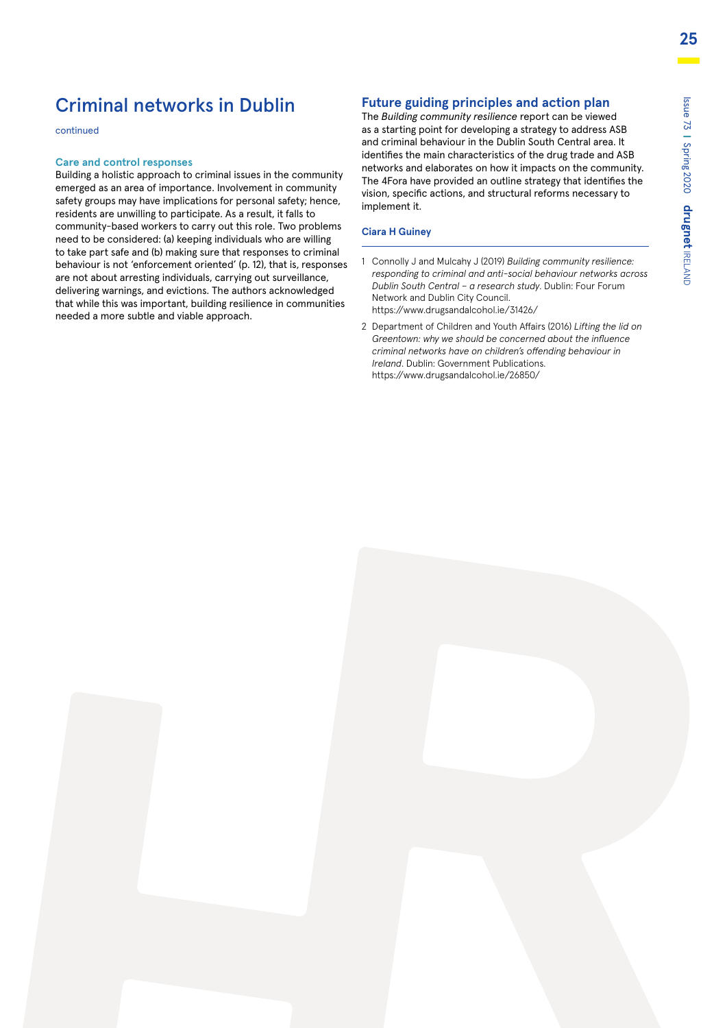### Criminal networks in Dublin

continued

#### **Care and control responses**

Building a holistic approach to criminal issues in the community emerged as an area of importance. Involvement in community safety groups may have implications for personal safety; hence, residents are unwilling to participate. As a result, it falls to community-based workers to carry out this role. Two problems need to be considered: (a) keeping individuals who are willing to take part safe and (b) making sure that responses to criminal behaviour is not 'enforcement oriented' (p. 12), that is, responses are not about arresting individuals, carrying out surveillance, delivering warnings, and evictions. The authors acknowledged that while this was important, building resilience in communities needed a more subtle and viable approach.

#### **Future guiding principles and action plan**

The *Building community resilience* report can be viewed as a starting point for developing a strategy to address ASB and criminal behaviour in the Dublin South Central area. It identifies the main characteristics of the drug trade and ASB networks and elaborates on how it impacts on the community. The 4Fora have provided an outline strategy that identifies the vision, specific actions, and structural reforms necessary to implement it.

#### **Ciara H Guiney**

- 1 Connolly J and Mulcahy J (2019) *Building community resilience: responding to criminal and anti-social behaviour networks across Dublin South Central – a research study*. Dublin: Four Forum Network and Dublin City Council. https://www.drugsandalcohol.ie/31426/
- 2 Department of Children and Youth Affairs (2016) *Lifting the lid on Greentown: why we should be concerned about the influence criminal networks have on children's offending behaviour in Ireland*. Dublin: Government Publications. https://www.drugsandalcohol.ie/26850/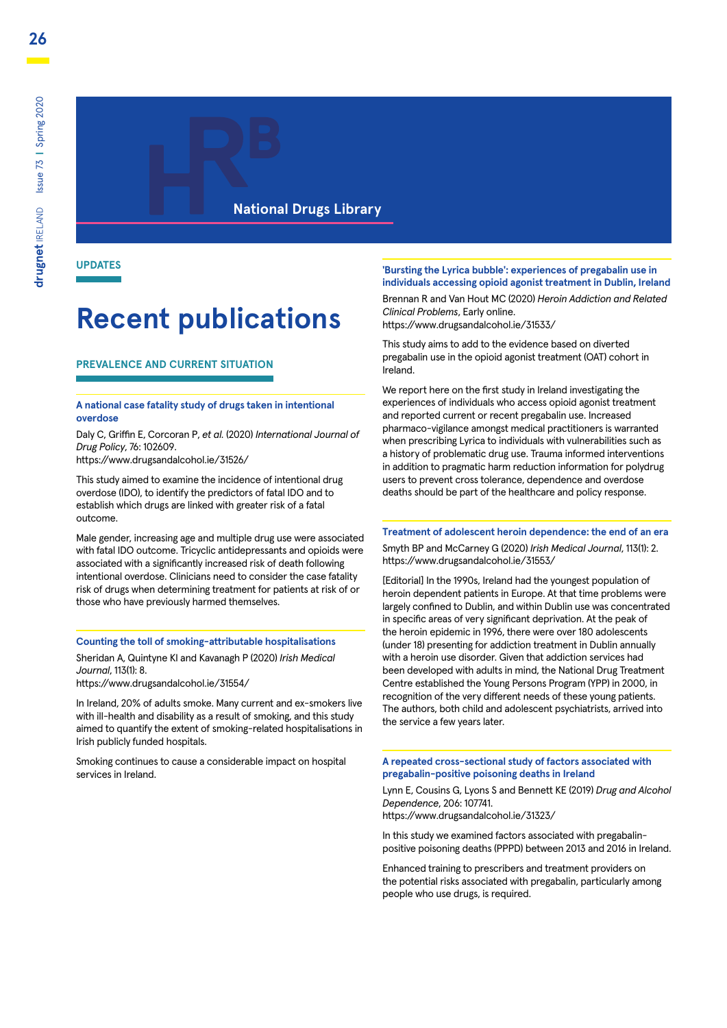#### **National Drugs Library**

**UPDATES**

# **Recent publications**

#### **PREVALENCE AND CURRENT SITUATION**

#### **A national case fatality study of drugs taken in intentional overdose**

Daly C, Griffin E, Corcoran P, *et al.* (2020) *International Journal of Drug Policy*, 76: 102609.

https://www.drugsandalcohol.ie/31526/

This study aimed to examine the incidence of intentional drug overdose (IDO), to identify the predictors of fatal IDO and to establish which drugs are linked with greater risk of a fatal outcome.

Male gender, increasing age and multiple drug use were associated with fatal IDO outcome. Tricyclic antidepressants and opioids were associated with a significantly increased risk of death following intentional overdose. Clinicians need to consider the case fatality risk of drugs when determining treatment for patients at risk of or those who have previously harmed themselves.

#### **Counting the toll of smoking-attributable hospitalisations**

Sheridan A, Quintyne KI and Kavanagh P (2020) *Irish Medical Journal*, 113(1): 8.

https://www.drugsandalcohol.ie/31554/

In Ireland, 20% of adults smoke. Many current and ex-smokers live with ill-health and disability as a result of smoking, and this study aimed to quantify the extent of smoking-related hospitalisations in Irish publicly funded hospitals.

Smoking continues to cause a considerable impact on hospital services in Ireland.

#### **'Bursting the Lyrica bubble': experiences of pregabalin use in individuals accessing opioid agonist treatment in Dublin, Ireland**

Brennan R and Van Hout MC (2020) *Heroin Addiction and Related Clinical Problems*, Early online. https://www.drugsandalcohol.ie/31533/

This study aims to add to the evidence based on diverted pregabalin use in the opioid agonist treatment (OAT) cohort in Ireland.

We report here on the first study in Ireland investigating the experiences of individuals who access opioid agonist treatment and reported current or recent pregabalin use. Increased pharmaco-vigilance amongst medical practitioners is warranted when prescribing Lyrica to individuals with vulnerabilities such as a history of problematic drug use. Trauma informed interventions in addition to pragmatic harm reduction information for polydrug users to prevent cross tolerance, dependence and overdose deaths should be part of the healthcare and policy response.

#### **Treatment of adolescent heroin dependence: the end of an era**

Smyth BP and McCarney G (2020) *Irish Medical Journal*, 113(1): 2. https://www.drugsandalcohol.ie/31553/

[Editorial] In the 1990s, Ireland had the youngest population of heroin dependent patients in Europe. At that time problems were largely confined to Dublin, and within Dublin use was concentrated in specific areas of very significant deprivation. At the peak of the heroin epidemic in 1996, there were over 180 adolescents (under 18) presenting for addiction treatment in Dublin annually with a heroin use disorder. Given that addiction services had been developed with adults in mind, the National Drug Treatment Centre established the Young Persons Program (YPP) in 2000, in recognition of the very different needs of these young patients. The authors, both child and adolescent psychiatrists, arrived into the service a few years later.

#### **A repeated cross-sectional study of factors associated with pregabalin-positive poisoning deaths in Ireland**

Lynn E, Cousins G, Lyons S and Bennett KE (2019) *Drug and Alcohol Dependence*, 206: 107741.

https://www.drugsandalcohol.ie/31323/

In this study we examined factors associated with pregabalinpositive poisoning deaths (PPPD) between 2013 and 2016 in Ireland.

Enhanced training to prescribers and treatment providers on the potential risks associated with pregabalin, particularly among people who use drugs, is required.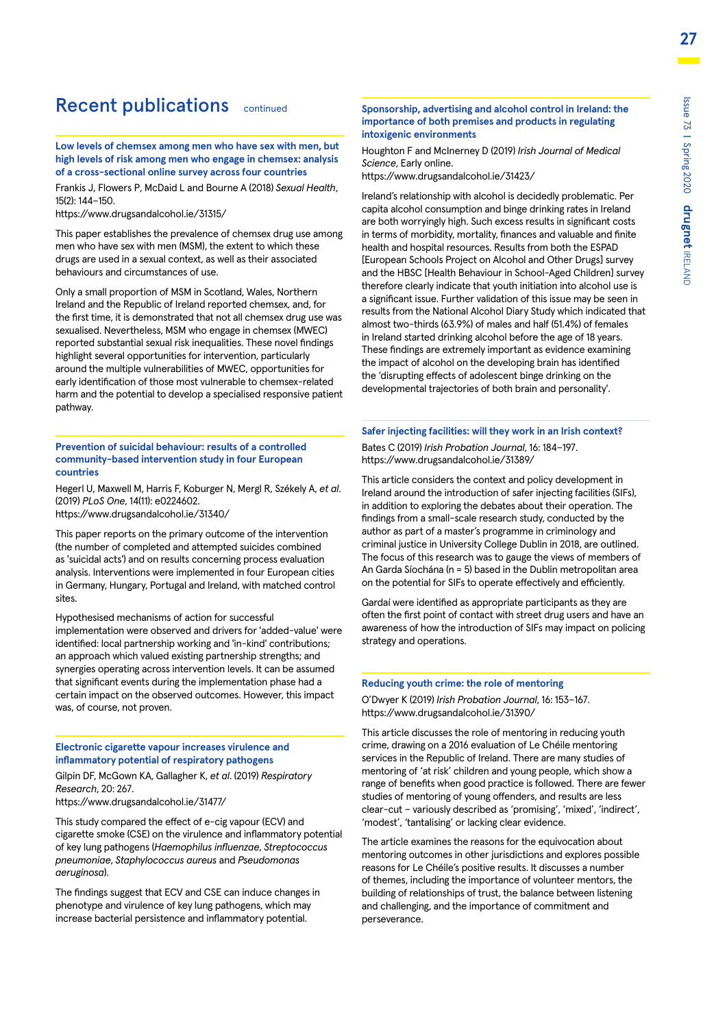### Recent publications continued

**Low levels of chemsex among men who have sex with men, but high levels of risk among men who engage in chemsex: analysis of a cross-sectional online survey across four countries**

Frankis J, Flowers P, McDaid L and Bourne A (2018) *Sexual Health*, 15(2): 144–150.

https://www.drugsandalcohol.ie/31315/

This paper establishes the prevalence of chemsex drug use among men who have sex with men (MSM), the extent to which these drugs are used in a sexual context, as well as their associated behaviours and circumstances of use.

Only a small proportion of MSM in Scotland, Wales, Northern Ireland and the Republic of Ireland reported chemsex, and, for the first time, it is demonstrated that not all chemsex drug use was sexualised. Nevertheless, MSM who engage in chemsex (MWEC) reported substantial sexual risk inequalities. These novel findings highlight several opportunities for intervention, particularly around the multiple vulnerabilities of MWEC, opportunities for early identification of those most vulnerable to chemsex-related harm and the potential to develop a specialised responsive patient pathway.

#### **Prevention of suicidal behaviour: results of a controlled community-based intervention study in four European countries**

Hegerl U, Maxwell M, Harris F, Koburger N, Mergl R, Székely A, *et al*. (2019) *PLoS One*, 14(11): e0224602.

https://www.drugsandalcohol.ie/31340/

This paper reports on the primary outcome of the intervention (the number of completed and attempted suicides combined as 'suicidal acts') and on results concerning process evaluation analysis. Interventions were implemented in four European cities in Germany, Hungary, Portugal and Ireland, with matched control sites.

Hypothesised mechanisms of action for successful implementation were observed and drivers for 'added-value' were identified: local partnership working and 'in-kind' contributions; an approach which valued existing partnership strengths; and synergies operating across intervention levels. It can be assumed that significant events during the implementation phase had a certain impact on the observed outcomes. However, this impact was, of course, not proven.

#### **Electronic cigarette vapour increases virulence and inflammatory potential of respiratory pathogens**

Gilpin DF, McGown KA, Gallagher K, *et al*. (2019) *Respiratory Research*, 20: 267.

https://www.drugsandalcohol.ie/31477/

This study compared the effect of e-cig vapour (ECV) and cigarette smoke (CSE) on the virulence and inflammatory potential of key lung pathogens (*Haemophilus influenzae*, *Streptococcus pneumoniae*, *Staphylococcus aureus* and *Pseudomonas aeruginosa*).

The findings suggest that ECV and CSE can induce changes in phenotype and virulence of key lung pathogens, which may increase bacterial persistence and inflammatory potential.

#### **Sponsorship, advertising and alcohol control in Ireland: the importance of both premises and products in regulating intoxigenic environments**

Houghton F and McInerney D (2019) *Irish Journal of Medical Science*, Early online.

https://www.drugsandalcohol.ie/31423/

Ireland's relationship with alcohol is decidedly problematic. Per capita alcohol consumption and binge drinking rates in Ireland are both worryingly high. Such excess results in significant costs in terms of morbidity, mortality, finances and valuable and finite health and hospital resources. Results from both the ESPAD [European Schools Project on Alcohol and Other Drugs] survey and the HBSC [Health Behaviour in School-Aged Children] survey therefore clearly indicate that youth initiation into alcohol use is a significant issue. Further validation of this issue may be seen in results from the National Alcohol Diary Study which indicated that almost two-thirds (63.9%) of males and half (51.4%) of females in Ireland started drinking alcohol before the age of 18 years. These findings are extremely important as evidence examining the impact of alcohol on the developing brain has identified the 'disrupting effects of adolescent binge drinking on the developmental trajectories of both brain and personality'.

#### **Safer injecting facilities: will they work in an Irish context?** Bates C (2019) *Irish Probation Journal*, 16: 184–197. https://www.drugsandalcohol.ie/31389/

This article considers the context and policy development in Ireland around the introduction of safer injecting facilities (SIFs), in addition to exploring the debates about their operation. The findings from a small-scale research study, conducted by the author as part of a master's programme in criminology and criminal justice in University College Dublin in 2018, are outlined. The focus of this research was to gauge the views of members of An Garda Síochána (n = 5) based in the Dublin metropolitan area on the potential for SIFs to operate effectively and efficiently.

Gardaí were identified as appropriate participants as they are often the first point of contact with street drug users and have an awareness of how the introduction of SIFs may impact on policing strategy and operations.

#### **Reducing youth crime: the role of mentoring**

O'Dwyer K (2019) *Irish Probation Journal*, 16: 153–167. https://www.drugsandalcohol.ie/31390/

This article discusses the role of mentoring in reducing youth crime, drawing on a 2016 evaluation of Le Chéile mentoring services in the Republic of Ireland. There are many studies of mentoring of 'at risk' children and young people, which show a range of benefits when good practice is followed. There are fewer studies of mentoring of young offenders, and results are less clear-cut – variously described as 'promising', 'mixed', 'indirect', 'modest', 'tantalising' or lacking clear evidence.

The article examines the reasons for the equivocation about mentoring outcomes in other jurisdictions and explores possible reasons for Le Chéile's positive results. It discusses a number of themes, including the importance of volunteer mentors, the building of relationships of trust, the balance between listening and challenging, and the importance of commitment and perseverance.